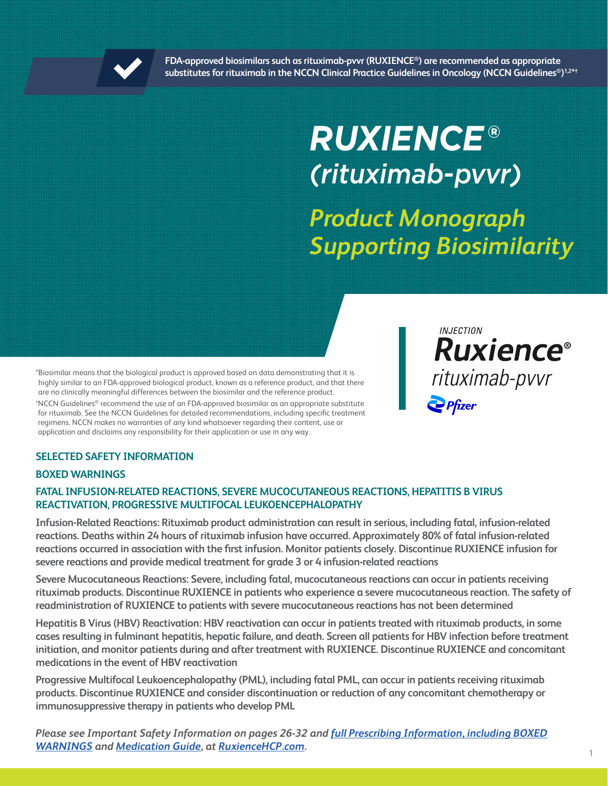

**FDA-approved biosimilars such as rituximab-pvvr (RUXIENCE®) are recommended as appropriate substitutes for rituximab in the NCCN Clinical Practice Guidelines in Oncology (NCCN Guidelines®) 1,2\*†**

# *RUXIENCE***®** *(rituximab-pvvr)*

*Product Monograph Supporting Biosimilarity*

\*Biosimilar means that the biological product is approved based on data demonstrating that it is highly similar to an FDA-approved biological product, known as a reference product, and that there are no clinically meaningful differences between the biosimilar and the reference product.

† NCCN Guidelines® recommend the use of an FDA-approved biosimilar as an appropriate substitute for rituximab. See the NCCN Guidelines for detailed recommendations, including specific treatment regimens. NCCN makes no warranties of any kind whatsoever regarding their content, use or application and disclaims any responsibility for their application or use in any way.

# **INJECTION Ruxience®** rituximab-pvvr  $\frac{1}{2}$  Pfizer

### **SELECTED SAFETY INFORMATION**

### **BOXED WARNINGS**

### **FATAL INFUSION-RELATED REACTIONS, SEVERE MUCOCUTANEOUS REACTIONS, HEPATITIS B VIRUS REACTIVATION, PROGRESSIVE MULTIFOCAL LEUKOENCEPHALOPATHY**

**Infusion-Related Reactions: Rituximab product administration can result in serious, including fatal, infusion-related reactions. Deaths within 24 hours of rituximab infusion have occurred. Approximately 80% of fatal infusion-related reactions occurred in association with the first infusion. Monitor patients closely. Discontinue RUXIENCE infusion for severe reactions and provide medical treatment for grade 3 or 4 infusion-related reactions**

**Severe Mucocutaneous Reactions: Severe, including fatal, mucocutaneous reactions can occur in patients receiving rituximab products. Discontinue RUXIENCE in patients who experience a severe mucocutaneous reaction. The safety of readministration of RUXIENCE to patients with severe mucocutaneous reactions has not been determined**

**Hepatitis B Virus (HBV) Reactivation: HBV reactivation can occur in patients treated with rituximab products, in some cases resulting in fulminant hepatitis, hepatic failure, and death. Screen all patients for HBV infection before treatment initiation, and monitor patients during and after treatment with RUXIENCE. Discontinue RUXIENCE and concomitant medications in the event of HBV reactivation**

**Progressive Multifocal Leukoencephalopathy (PML), including fatal PML, can occur in patients receiving rituximab products. Discontinue RUXIENCE and consider discontinuation or reduction of any concomitant chemotherapy or immunosuppressive therapy in patients who develop PML**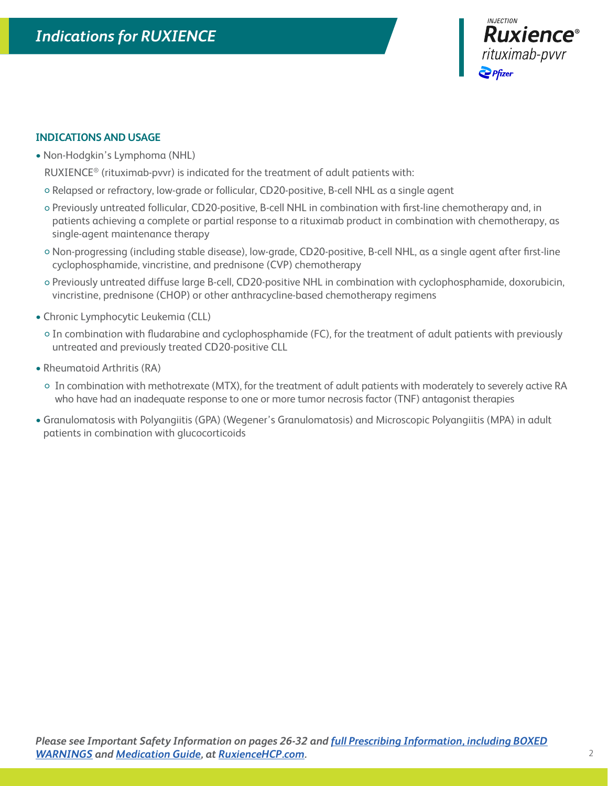

### **INDICATIONS AND USAGE**

• Non-Hodgkin's Lymphoma (NHL)

RUXIENCE® (rituximab-pvvr) is indicated for the treatment of adult patients with:

- Relapsed or refractory, low-grade or follicular, CD20-positive, B-cell NHL as a single agent
- Previously untreated follicular, CD20-positive, B-cell NHL in combination with first-line chemotherapy and, in patients achieving a complete or partial response to a rituximab product in combination with chemotherapy, as single-agent maintenance therapy
- Non-progressing (including stable disease), low-grade, CD20-positive, B-cell NHL, as a single agent after first-line cyclophosphamide, vincristine, and prednisone (CVP) chemotherapy
- Previously untreated diffuse large B-cell, CD20-positive NHL in combination with cyclophosphamide, doxorubicin, vincristine, prednisone (CHOP) or other anthracycline-based chemotherapy regimens
- Chronic Lymphocytic Leukemia (CLL)
	- In combination with fludarabine and cyclophosphamide (FC), for the treatment of adult patients with previously untreated and previously treated CD20-positive CLL
- Rheumatoid Arthritis (RA)
	- In combination with methotrexate (MTX), for the treatment of adult patients with moderately to severely active RA who have had an inadequate response to one or more tumor necrosis factor (TNF) antagonist therapies
- Granulomatosis with Polyangiitis (GPA) (Wegener's Granulomatosis) and Microscopic Polyangiitis (MPA) in adult patients in combination with glucocorticoids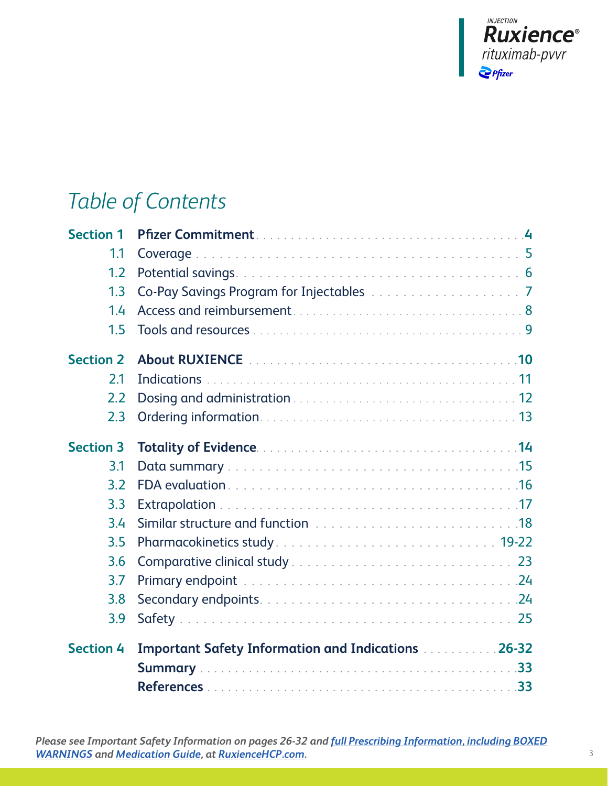

# *Table of Contents*

| <b>Section 1</b> |                                                           |  |
|------------------|-----------------------------------------------------------|--|
| 1.1              |                                                           |  |
| 1.2              |                                                           |  |
| 1.3              |                                                           |  |
| 1.4              |                                                           |  |
| 1.5              |                                                           |  |
| <b>Section 2</b> |                                                           |  |
| 2.1              |                                                           |  |
| 2.2              |                                                           |  |
| 2.3              |                                                           |  |
| <b>Section 3</b> | Totality of Evidence <b>Manual Access 2014</b>            |  |
| 3.1              |                                                           |  |
| 3.2              |                                                           |  |
| 3.3              |                                                           |  |
| 3.4              |                                                           |  |
| 3.5              |                                                           |  |
| 3.6              |                                                           |  |
| 3.7              |                                                           |  |
| 3.8              |                                                           |  |
| 3.9              |                                                           |  |
| <b>Section 4</b> | <b>Important Safety Information and Indications 26-32</b> |  |
|                  |                                                           |  |
|                  |                                                           |  |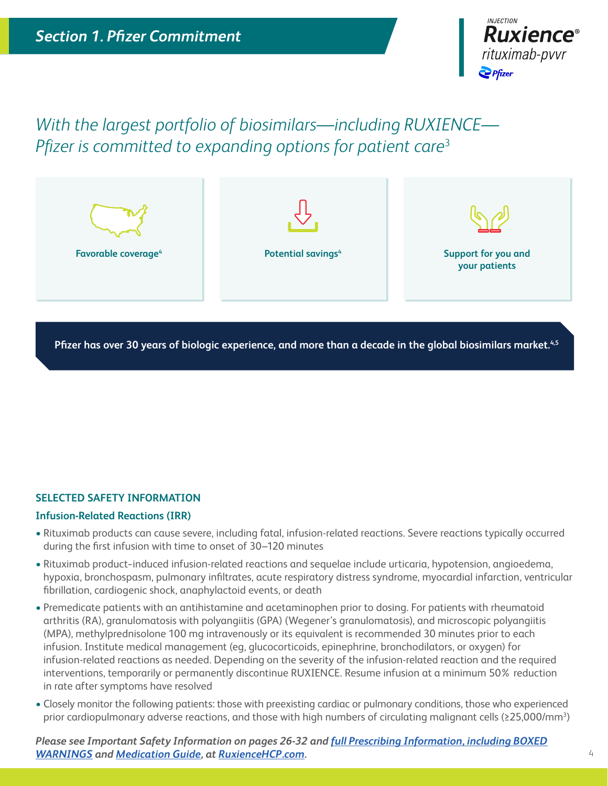

*With the largest portfolio of biosimilars—including RUXIENCE— Pfizer is committed to expanding options for patient care*<sup>3</sup>



**Pfizer has over 30 years of biologic experience, and more than a decade in the global biosimilars market.4,5**

### **SELECTED SAFETY INFORMATION**

#### **Infusion-Related Reactions (IRR)**

- Rituximab products can cause severe, including fatal, infusion-related reactions. Severe reactions typically occurred during the first infusion with time to onset of 30–120 minutes
- Rituximab product−induced infusion-related reactions and sequelae include urticaria, hypotension, angioedema, hypoxia, bronchospasm, pulmonary infiltrates, acute respiratory distress syndrome, myocardial infarction, ventricular fibrillation, cardiogenic shock, anaphylactoid events, or death
- Premedicate patients with an antihistamine and acetaminophen prior to dosing. For patients with rheumatoid arthritis (RA), granulomatosis with polyangiitis (GPA) (Wegener's granulomatosis), and microscopic polyangiitis (MPA), methylprednisolone 100 mg intravenously or its equivalent is recommended 30 minutes prior to each infusion. Institute medical management (eg, glucocorticoids, epinephrine, bronchodilators, or oxygen) for infusion-related reactions as needed. Depending on the severity of the infusion-related reaction and the required interventions, temporarily or permanently discontinue RUXIENCE. Resume infusion at a minimum 50% reduction in rate after symptoms have resolved
- Closely monitor the following patients: those with preexisting cardiac or pulmonary conditions, those who experienced prior cardiopulmonary adverse reactions, and those with high numbers of circulating malignant cells (≥25,000/mm<sup>3</sup>)

*Please see Important Safety Information on pages 26-32 and [full Prescribing Information, including BOXED](http://labeling.pfizer.com/ShowLabeling.aspx?id=12090) [WARNINGS](http://labeling.pfizer.com/ShowLabeling.aspx?id=12090) and [Medication Guide](http://labeling.pfizer.com/ShowLabeling.aspx?id=12090§ion=MedGuide), at [RuxienceHCP.com.](https://www.pfizerpro.com/product/ruxience/hcp)*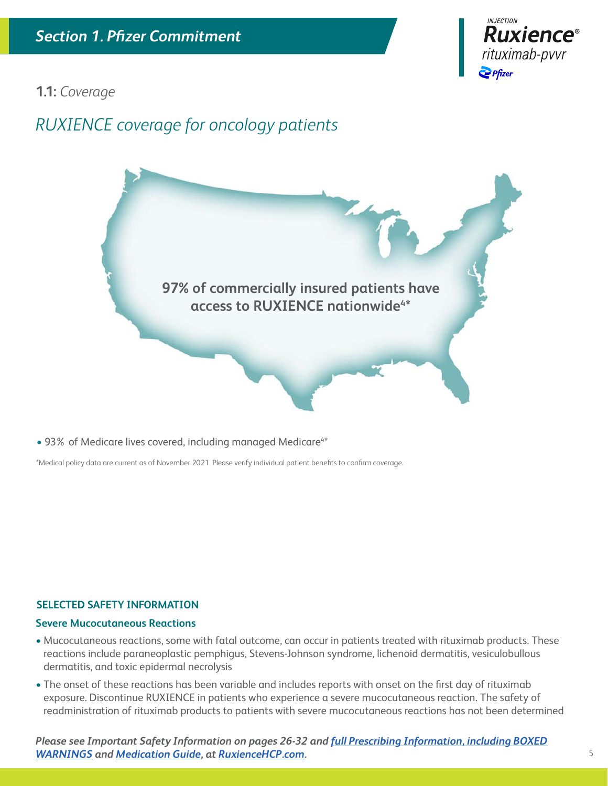

**1.1:** *Coverage*

# *RUXIENCE coverage for oncology patients*

**97% of commercially insured patients have access to RUXIENCE nationwide4 \***

• 93% of Medicare lives covered, including managed Medicare<sup>4\*</sup>

\*Medical policy data are current as of November 2021. Please verify individual patient benefits to confirm coverage.

### **SELECTED SAFETY INFORMATION**

#### **Severe Mucocutaneous Reactions**

- Mucocutaneous reactions, some with fatal outcome, can occur in patients treated with rituximab products. These reactions include paraneoplastic pemphigus, Stevens-Johnson syndrome, lichenoid dermatitis, vesiculobullous dermatitis, and toxic epidermal necrolysis
- The onset of these reactions has been variable and includes reports with onset on the first day of rituximab exposure. Discontinue RUXIENCE in patients who experience a severe mucocutaneous reaction. The safety of readministration of rituximab products to patients with severe mucocutaneous reactions has not been determined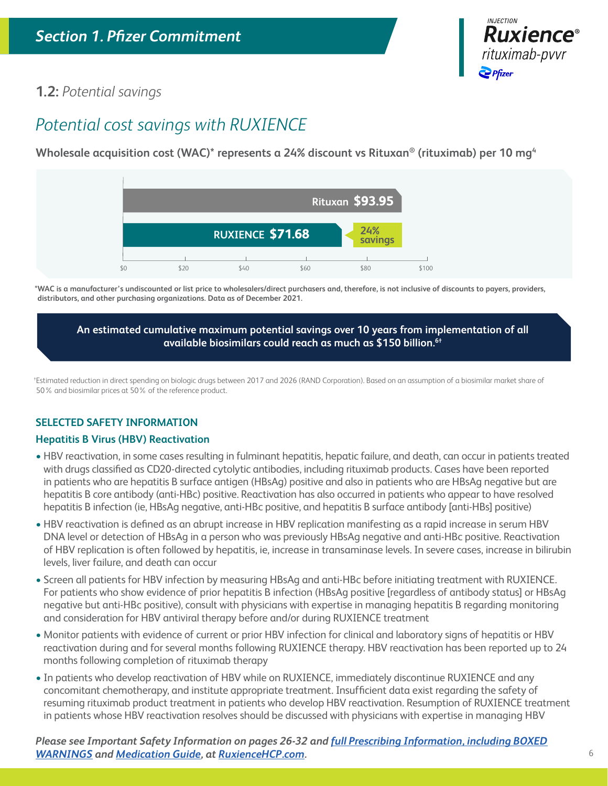

### **1.2:** *Potential savings*

# *Potential cost savings with RUXIENCE*

**Wholesale acquisition cost (WAC)\* represents a 24% discount vs Rituxan® (rituximab) per 10 mg4**



**\*WAC is a manufacturer's undiscounted or list price to wholesalers/direct purchasers and, therefore, is not inclusive of discounts to payers, providers, distributors, and other purchasing organizations. Data as of December 2021.**

**An estimated cumulative maximum potential savings over 10 years from implementation of all available biosimilars could reach as much as \$150 billion.6†**

† Estimated reduction in direct spending on biologic drugs between 2017 and 2026 (RAND Corporation). Based on an assumption of a biosimilar market share of 50% and biosimilar prices at 50% of the reference product.

### **SELECTED SAFETY INFORMATION**

### **Hepatitis B Virus (HBV) Reactivation**

- HBV reactivation, in some cases resulting in fulminant hepatitis, hepatic failure, and death, can occur in patients treated with drugs classified as CD20-directed cytolytic antibodies, including rituximab products. Cases have been reported in patients who are hepatitis B surface antigen (HBsAg) positive and also in patients who are HBsAg negative but are hepatitis B core antibody (anti-HBc) positive. Reactivation has also occurred in patients who appear to have resolved hepatitis B infection (ie, HBsAg negative, anti-HBc positive, and hepatitis B surface antibody [anti-HBs] positive)
- HBV reactivation is defined as an abrupt increase in HBV replication manifesting as a rapid increase in serum HBV DNA level or detection of HBsAg in a person who was previously HBsAg negative and anti-HBc positive. Reactivation of HBV replication is often followed by hepatitis, ie, increase in transaminase levels. In severe cases, increase in bilirubin levels, liver failure, and death can occur
- Screen all patients for HBV infection by measuring HBsAg and anti-HBc before initiating treatment with RUXIENCE. For patients who show evidence of prior hepatitis B infection (HBsAg positive [regardless of antibody status] or HBsAg negative but anti-HBc positive), consult with physicians with expertise in managing hepatitis B regarding monitoring and consideration for HBV antiviral therapy before and/or during RUXIENCE treatment
- Monitor patients with evidence of current or prior HBV infection for clinical and laboratory signs of hepatitis or HBV reactivation during and for several months following RUXIENCE therapy. HBV reactivation has been reported up to 24 months following completion of rituximab therapy
- In patients who develop reactivation of HBV while on RUXIENCE, immediately discontinue RUXIENCE and any concomitant chemotherapy, and institute appropriate treatment. Insufficient data exist regarding the safety of resuming rituximab product treatment in patients who develop HBV reactivation. Resumption of RUXIENCE treatment in patients whose HBV reactivation resolves should be discussed with physicians with expertise in managing HBV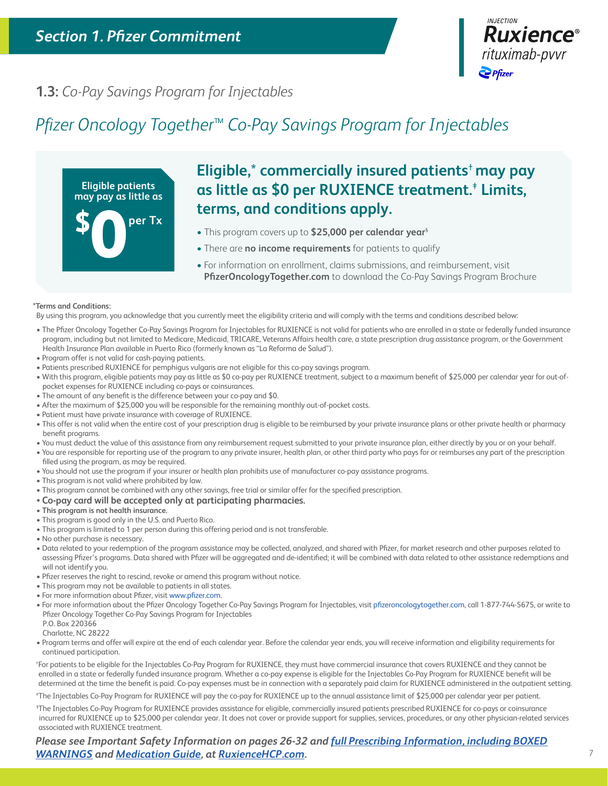

### **1.3:** *Co-Pay Savings Program for Injectables*

# *Pfizer Oncology Together*™ *Co-Pay Savings Program for Injectables*



# **Eligible,**\* **commercially insured patients**†**may pay as little as \$0 per RUXIENCE treatment.**‡  **Limits, terms, and conditions apply.**

- This program covers up to **\$25,000 per calendar year**§
- There are **no income requirements** for patients to qualify
- For information on enrollment, claims submissions, and reimbursement, visit **PfizerOncologyTogether.com** to download the Co-Pay Savings Program Brochure

#### **\*Terms and Conditions:**

By using this program, you acknowledge that you currently meet the eligibility criteria and will comply with the terms and conditions described below:

- The Pfizer Oncology Together Co-Pay Savings Program for Injectables for RUXIENCE is not valid for patients who are enrolled in a state or federally funded insurance program, including but not limited to Medicare, Medicaid, TRICARE, Veterans Affairs health care, a state prescription drug assistance program, or the Government Health Insurance Plan available in Puerto Rico (formerly known as "La Reforma de Salud").
- Program offer is not valid for cash-paying patients.
- Patients prescribed RUXIENCE for pemphigus vulgaris are not eligible for this co-pay savings program.
- With this program, eligible patients may pay as little as \$0 co-pay per RUXIENCE treatment, subject to a maximum benefit of \$25,000 per calendar year for out-ofpocket expenses for RUXIENCE including co-pays or coinsurances.
- The amount of any benefit is the difference between your co-pay and \$0.
- After the maximum of \$25,000 you will be responsible for the remaining monthly out-of-pocket costs.
- Patient must have private insurance with coverage of RUXIENCE.
- This offer is not valid when the entire cost of your prescription drug is eligible to be reimbursed by your private insurance plans or other private health or pharmacy benefit programs.
- You must deduct the value of this assistance from any reimbursement request submitted to your private insurance plan, either directly by you or on your behalf.
- You are responsible for reporting use of the program to any private insurer, health plan, or other third party who pays for or reimburses any part of the prescription filled using the program, as may be required.
- You should not use the program if your insurer or health plan prohibits use of manufacturer co-pay assistance programs.
- This program is not valid where prohibited by law.
- This program cannot be combined with any other savings, free trial or similar offer for the specified prescription.

#### • **Co-pay card will be accepted only at participating pharmacies.**

- **This program is not health insurance.**
- This program is good only in the U.S. and Puerto Rico.
- This program is limited to 1 per person during this offering period and is not transferable.
- No other purchase is necessary.
- Data related to your redemption of the program assistance may be collected, analyzed, and shared with Pfizer, for market research and other purposes related to assessing Pfizer's programs. Data shared with Pfizer will be aggregated and de-identified; it will be combined with data related to other assistance redemptions and will not identify you.
- Pfizer reserves the right to rescind, revoke or amend this program without notice.
- This program may not be available to patients in all states.
- For more information about Pfizer, visit www.pfizer.com.
- For more information about the Pfizer Oncology Together Co-Pay Savings Program for Injectables, visit [pfizeroncologytogether.com,](http://pfizeroncologytogether.com) call 1-877-744-5675, or write to Pfizer Oncology Together Co-Pay Savings Program for Injectables
- P.O. Box 220366

Charlotte, NC 28222

• Program terms and offer will expire at the end of each calendar year. Before the calendar year ends, you will receive information and eligibility requirements for continued participation.

† For patients to be eligible for the Injectables Co-Pay Program for RUXIENCE, they must have commercial insurance that covers RUXIENCE and they cannot be enrolled in a state or federally funded insurance program. Whether a co-pay expense is eligible for the Injectables Co-Pay Program for RUXIENCE benefit will be determined at the time the benefit is paid. Co-pay expenses must be in connection with a separately paid claim for RUXIENCE administered in the outpatient setting.

‡ The Injectables Co-Pay Program for RUXIENCE will pay the co-pay for RUXIENCE up to the annual assistance limit of \$25,000 per calendar year per patient.

§ The Injectables Co-Pay Program for RUXIENCE provides assistance for eligible, commercially insured patients prescribed RUXIENCE for co-pays or coinsurance incurred for RUXIENCE up to \$25,000 per calendar year. It does not cover or provide support for supplies, services, procedures, or any other physician-related services associated with RUXIENCE treatment.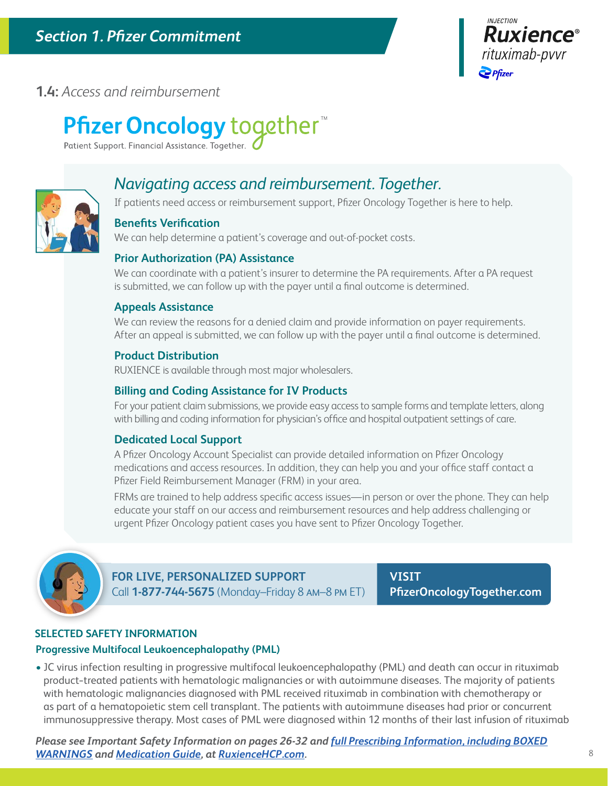

### **1.4:** *Access and reimbursement*

# **Pfizer Oncology** together™

Patient Support. Financial Assistance. Together.



### *Navigating access and reimbursement. Together.*

If patients need access or reimbursement support, Pfizer Oncology Together is here to help.

### **Benefits Verification**

We can help determine a patient's coverage and out-of-pocket costs.

### **Prior Authorization (PA) Assistance**

We can coordinate with a patient's insurer to determine the PA requirements. After a PA request is submitted, we can follow up with the payer until a final outcome is determined.

### **Appeals Assistance**

We can review the reasons for a denied claim and provide information on payer requirements. After an appeal is submitted, we can follow up with the payer until a final outcome is determined.

### **Product Distribution**

RUXIENCE is available through most major wholesalers.

### **Billing and Coding Assistance for IV Products**

For your patient claim submissions, we provide easy access to sample forms and template letters, along with billing and coding information for physician's office and hospital outpatient settings of care.

### **Dedicated Local Support**

A Pfizer Oncology Account Specialist can provide detailed information on Pfizer Oncology medications and access resources. In addition, they can help you and your office staff contact a Pfizer Field Reimbursement Manager (FRM) in your area.

FRMs are trained to help address specific access issues—in person or over the phone. They can help educate your staff on our access and reimbursement resources and help address challenging or urgent Pfizer Oncology patient cases you have sent to Pfizer Oncology Together.



**FOR LIVE, PERSONALIZED SUPPORT**  Call **1-877-744-5675** (Monday–Friday 8 AM–8 PM ET)

**VISIT [PfizerOncologyTogether.com](http://PfizerOncologyTogether.com)**

### **SELECTED SAFETY INFORMATION**

### **Progressive Multifocal Leukoencephalopathy (PML)**

• JC virus infection resulting in progressive multifocal leukoencephalopathy (PML) and death can occur in rituximab product−treated patients with hematologic malignancies or with autoimmune diseases. The majority of patients with hematologic malignancies diagnosed with PML received rituximab in combination with chemotherapy or as part of a hematopoietic stem cell transplant. The patients with autoimmune diseases had prior or concurrent immunosuppressive therapy. Most cases of PML were diagnosed within 12 months of their last infusion of rituximab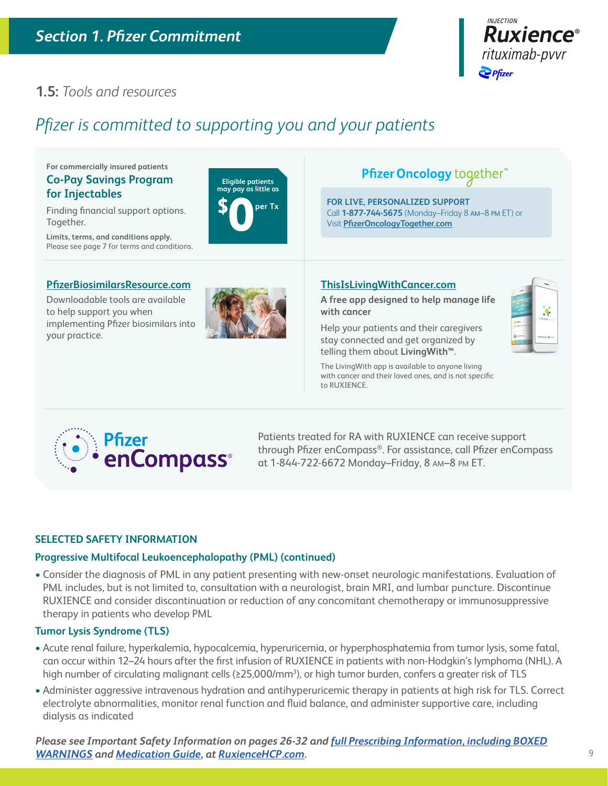

þ,

### **1.5:** *Tools and resources*

# *Pfizer is committed to supporting you and your patients*

**Eligible patients may pay as little as**

**per Tx**

**For commercially insured patients Co-Pay Savings Program for Injectables**

Finding financial support options. Together.

**Limits, terms, and conditions apply.** Please see page 7 for terms and conditions.

### **[PfizerBiosimilarsResource.com](http://PfizerBiosimilarsResource.com)**

Downloadable tools are available to help support you when implementing Pfizer biosimilars into your practice.



# Pfizer Oncology together

**FOR LIVE, PERSONALIZED SUPPORT**  Call **1-877-744-5675** (Monday–Friday 8 AM–8 PM ET) or Visit **[PfizerOncologyTogether.com](http://PfizerOncologyTogether.com)**

### **[ThisIsLivingWithCancer.com](http://ThisIsLivingWithCancer.com)**

**A free app designed to help manage life with cancer**

Help your patients and their caregivers stay connected and get organized by telling them about **LivingWith™**.





Patients treated for RA with RUXIENCE can receive support through Pfizer enCompass®. For assistance, call Pfizer enCompass at 1-844-722-6672 Monday–Friday, 8 AM–8 PM ET.

### **SELECTED SAFETY INFORMATION**

### **Progressive Multifocal Leukoencephalopathy (PML) (continued)**

• Consider the diagnosis of PML in any patient presenting with new-onset neurologic manifestations. Evaluation of PML includes, but is not limited to, consultation with a neurologist, brain MRI, and lumbar puncture. Discontinue RUXIENCE and consider discontinuation or reduction of any concomitant chemotherapy or immunosuppressive therapy in patients who develop PML

#### **Tumor Lysis Syndrome (TLS)**

- Acute renal failure, hyperkalemia, hypocalcemia, hyperuricemia, or hyperphosphatemia from tumor lysis, some fatal, can occur within 12–24 hours after the first infusion of RUXIENCE in patients with non-Hodgkin's lymphoma (NHL). A high number of circulating malignant cells (≥25,000/mm<sup>3</sup>), or high tumor burden, confers a greater risk of TLS
- Administer aggressive intravenous hydration and antihyperuricemic therapy in patients at high risk for TLS. Correct electrolyte abnormalities, monitor renal function and fluid balance, and administer supportive care, including dialysis as indicated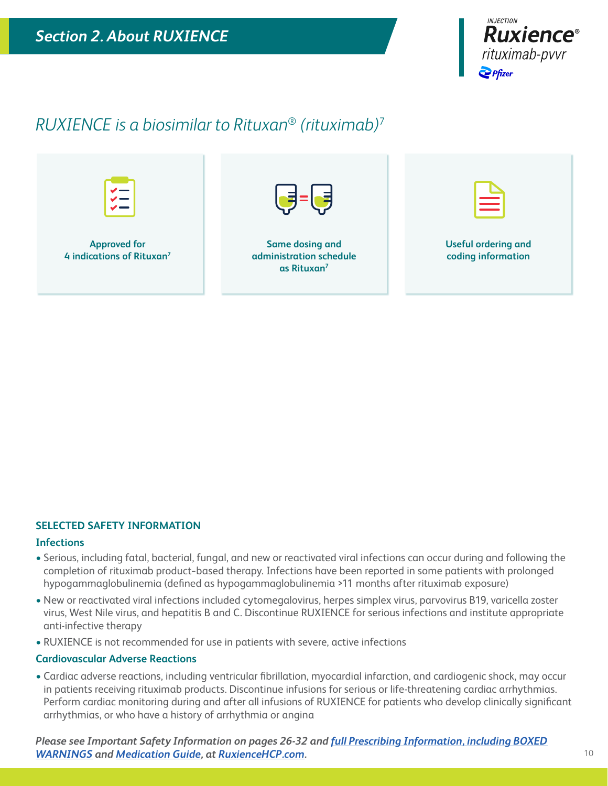

# *RUXIENCE is a biosimilar to Rituxan*® *(rituximab)*<sup>7</sup>



### **SELECTED SAFETY INFORMATION**

#### **Infections**

- Serious, including fatal, bacterial, fungal, and new or reactivated viral infections can occur during and following the completion of rituximab product−based therapy. Infections have been reported in some patients with prolonged hypogammaglobulinemia (defined as hypogammaglobulinemia >11 months after rituximab exposure)
- New or reactivated viral infections included cytomegalovirus, herpes simplex virus, parvovirus B19, varicella zoster virus, West Nile virus, and hepatitis B and C. Discontinue RUXIENCE for serious infections and institute appropriate anti-infective therapy
- RUXIENCE is not recommended for use in patients with severe, active infections

#### **Cardiovascular Adverse Reactions**

• Cardiac adverse reactions, including ventricular fibrillation, myocardial infarction, and cardiogenic shock, may occur in patients receiving rituximab products. Discontinue infusions for serious or life-threatening cardiac arrhythmias. Perform cardiac monitoring during and after all infusions of RUXIENCE for patients who develop clinically significant arrhythmias, or who have a history of arrhythmia or angina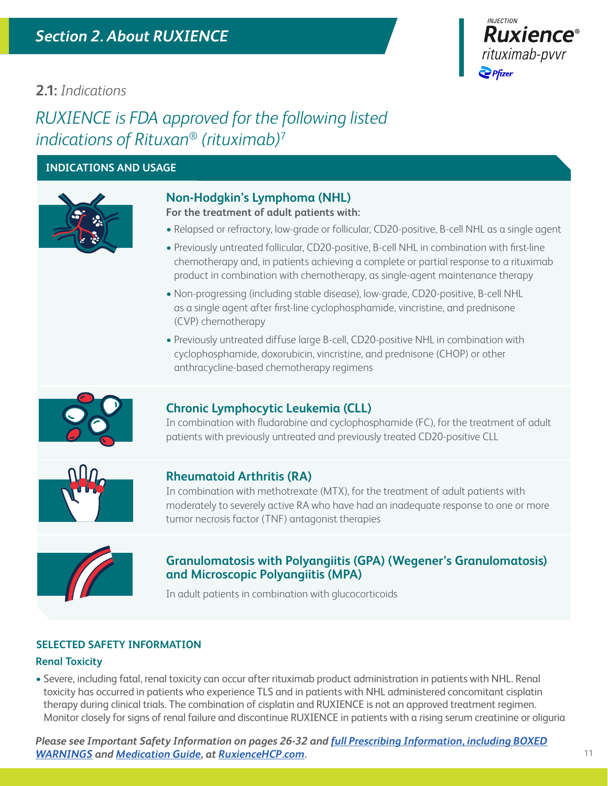

### **2.1:** *Indications*

*RUXIENCE is FDA approved for the following listed indications of Rituxan*® *(rituximab)*<sup>7</sup>

### **INDICATIONS AND USAGE**



### **Non-Hodgkin's Lymphoma (NHL)**

**For the treatment of adult patients with:**

- **•** Relapsed or refractory, low-grade or follicular, CD20-positive, B-cell NHL as a single agent
- **•** Previously untreated follicular, CD20-positive, B-cell NHL in combination with first-line chemotherapy and, in patients achieving a complete or partial response to a rituximab product in combination with chemotherapy, as single-agent maintenance therapy
- **•** Non-progressing (including stable disease), low-grade, CD20-positive, B-cell NHL as a single agent after first-line cyclophosphamide, vincristine, and prednisone (CVP) chemotherapy
- **•** Previously untreated diffuse large B-cell, CD20-positive NHL in combination with cyclophosphamide, doxorubicin, vincristine, and prednisone (CHOP) or other anthracycline-based chemotherapy regimens



### **Chronic Lymphocytic Leukemia (CLL)**

In combination with fludarabine and cyclophosphamide (FC), for the treatment of adult patients with previously untreated and previously treated CD20-positive CLL



### **Rheumatoid Arthritis (RA)**

In combination with methotrexate (MTX), for the treatment of adult patients with moderately to severely active RA who have had an inadequate response to one or more tumor necrosis factor (TNF) antagonist therapies



### **Granulomatosis with Polyangiitis (GPA) (Wegener's Granulomatosis) and Microscopic Polyangiitis (MPA)**

In adult patients in combination with glucocorticoids

### **SELECTED SAFETY INFORMATION**

### **Renal Toxicity**

• Severe, including fatal, renal toxicity can occur after rituximab product administration in patients with NHL. Renal toxicity has occurred in patients who experience TLS and in patients with NHL administered concomitant cisplatin therapy during clinical trials. The combination of cisplatin and RUXIENCE is not an approved treatment regimen. Monitor closely for signs of renal failure and discontinue RUXIENCE in patients with a rising serum creatinine or oliguria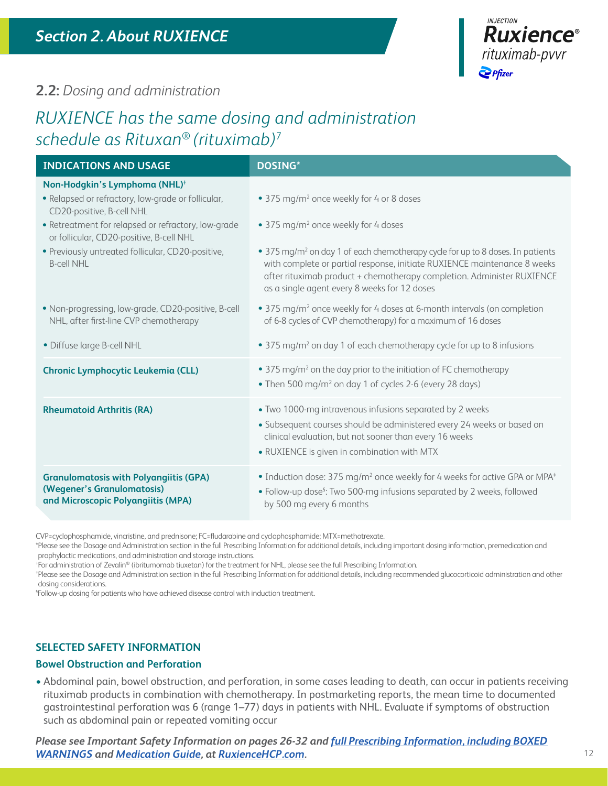

### **2.2:** *Dosing and administration*

# *RUXIENCE has the same dosing and administration schedule as Rituxan*® *(rituximab)*<sup>7</sup>

| <b>INDICATIONS AND USAGE</b>                                                                                                                                                                                                    | <b>DOSING*</b>                                                                                                                                                                                                                                                                                   |
|---------------------------------------------------------------------------------------------------------------------------------------------------------------------------------------------------------------------------------|--------------------------------------------------------------------------------------------------------------------------------------------------------------------------------------------------------------------------------------------------------------------------------------------------|
| Non-Hodgkin's Lymphoma (NHL) <sup>+</sup><br>· Relapsed or refractory, low-grade or follicular,<br>CD20-positive, B-cell NHL<br>• Retreatment for relapsed or refractory, low-grade<br>or follicular, CD20-positive, B-cell NHL | • 375 mg/m <sup>2</sup> once weekly for 4 or 8 doses<br>• 375 mg/m <sup>2</sup> once weekly for 4 doses                                                                                                                                                                                          |
| · Previously untreated follicular, CD20-positive,<br><b>B-cell NHL</b>                                                                                                                                                          | • 375 mg/m <sup>2</sup> on day 1 of each chemotherapy cycle for up to 8 doses. In patients<br>with complete or partial response, initiate RUXIENCE maintenance 8 weeks<br>after rituximab product + chemotherapy completion. Administer RUXIENCE<br>as a single agent every 8 weeks for 12 doses |
| . Non-progressing, low-grade, CD20-positive, B-cell<br>NHL, after first-line CVP chemotherapy                                                                                                                                   | • 375 mg/m <sup>2</sup> once weekly for 4 doses at 6-month intervals (on completion<br>of 6-8 cycles of CVP chemotherapy) for a maximum of 16 doses                                                                                                                                              |
| · Diffuse large B-cell NHL                                                                                                                                                                                                      | • 375 mg/m <sup>2</sup> on day 1 of each chemotherapy cycle for up to 8 infusions                                                                                                                                                                                                                |
| <b>Chronic Lymphocytic Leukemia (CLL)</b>                                                                                                                                                                                       | • 375 mg/m <sup>2</sup> on the day prior to the initiation of FC chemotherapy<br>• Then 500 mg/m <sup>2</sup> on day 1 of cycles 2-6 (every 28 days)                                                                                                                                             |
| <b>Rheumatoid Arthritis (RA)</b>                                                                                                                                                                                                | • Two 1000-mg intravenous infusions separated by 2 weeks<br>· Subsequent courses should be administered every 24 weeks or based on<br>clinical evaluation, but not sooner than every 16 weeks<br>• RUXIENCE is given in combination with MTX                                                     |
| <b>Granulomatosis with Polyangiitis (GPA)</b><br>(Wegener's Granulomatosis)<br>and Microscopic Polyangiitis (MPA)                                                                                                               | • Induction dose: 375 mg/m <sup>2</sup> once weekly for 4 weeks for active GPA or MPA <sup>+</sup><br>• Follow-up dose <sup>§</sup> : Two 500-mg infusions separated by 2 weeks, followed<br>by 500 mg every 6 months                                                                            |

CVP=cyclophosphamide, vincristine, and prednisone; FC=fludarabine and cyclophosphamide; MTX=methotrexate.

\*Please see the Dosage and Administration section in the full Prescribing Information for additional details, including important dosing information, premedication and prophylactic medications, and administration and storage instructions.†

For administration of Zevalin® (ibritumomab tiuxetan) for the treatment for NHL, please see the full Prescribing Information.‡

Please see the Dosage and Administration section in the full Prescribing Information for additional details, including recommended glucocorticoid administration and other dosing considerations.

Follow-up dosing for patients who have achieved disease control with induction treatment.

### **SELECTED SAFETY INFORMATION**

#### **Bowel Obstruction and Perforation**

• Abdominal pain, bowel obstruction, and perforation, in some cases leading to death, can occur in patients receiving rituximab products in combination with chemotherapy. In postmarketing reports, the mean time to documented gastrointestinal perforation was 6 (range 1–77) days in patients with NHL. Evaluate if symptoms of obstruction such as abdominal pain or repeated vomiting occur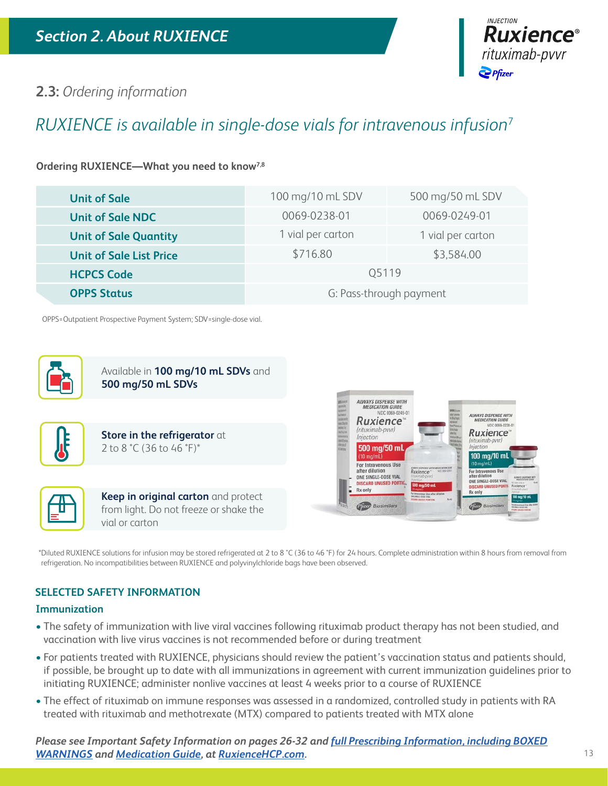

### **2.3:** *Ordering information*

# *RUXIENCE is available in single-dose vials for intravenous infusion*<sup>7</sup>

### **Ordering RUXIENCE—What you need to know7,8**

| <b>Unit of Sale</b>            | 100 mg/10 mL SDV        | 500 mg/50 mL SDV  |  |  |
|--------------------------------|-------------------------|-------------------|--|--|
| <b>Unit of Sale NDC</b>        | 0069-0238-01            | 0069-0249-01      |  |  |
| <b>Unit of Sale Quantity</b>   | 1 vial per carton       | 1 vial per carton |  |  |
| <b>Unit of Sale List Price</b> | \$716.80<br>\$3,584.00  |                   |  |  |
| <b>HCPCS Code</b>              | 05119                   |                   |  |  |
| <b>OPPS Status</b>             | G: Pass-through payment |                   |  |  |

OPPS=Outpatient Prospective Payment System; SDV=single-dose vial.



Available in **100 mg/10 mL SDVs** and **500 mg/50 mL SDVs**







**Keep in original carton** and protect from light. Do not freeze or shake the vial or carton



\*Diluted RUXIENCE solutions for infusion may be stored refrigerated at 2 to 8 °C (36 to 46 °F) for 24 hours. Complete administration within 8 hours from removal from refrigeration. No incompatibilities between RUXIENCE and polyvinylchloride bags have been observed.

### **SELECTED SAFETY INFORMATION**

### **Immunization**

- The safety of immunization with live viral vaccines following rituximab product therapy has not been studied, and vaccination with live virus vaccines is not recommended before or during treatment
- For patients treated with RUXIENCE, physicians should review the patient's vaccination status and patients should, if possible, be brought up to date with all immunizations in agreement with current immunization guidelines prior to initiating RUXIENCE; administer nonlive vaccines at least 4 weeks prior to a course of RUXIENCE
- The effect of rituximab on immune responses was assessed in a randomized, controlled study in patients with RA treated with rituximab and methotrexate (MTX) compared to patients treated with MTX alone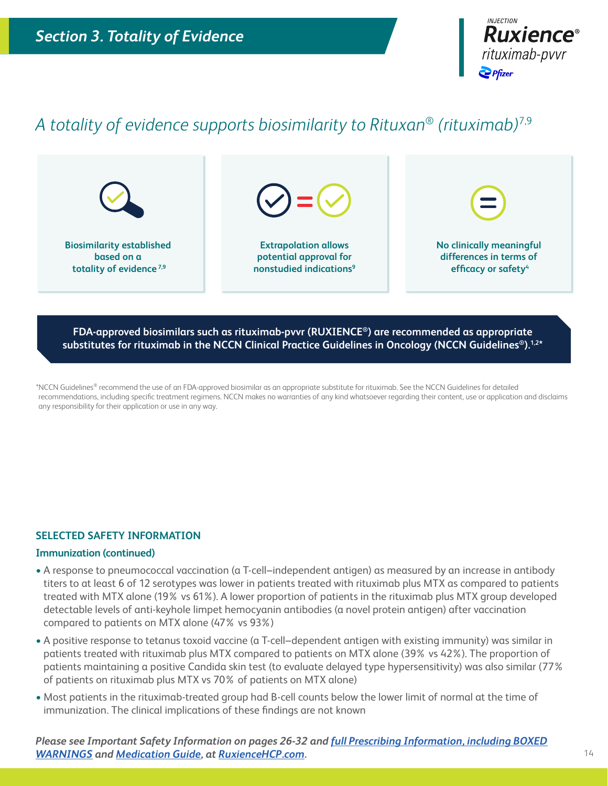

# *A totality of evidence supports biosimilarity to Rituxan*® *(rituximab)*7,9



**FDA-approved biosimilars such as rituximab-pvvr (RUXIENCE®) are recommended as appropriate**  substitutes for rituximab in the NCCN Clinical Practice Guidelines in Oncology (NCCN Guidelines<sup>®</sup>).<sup>1,2\*</sup>

\*NCCN Guidelines® recommend the use of an FDA-approved biosimilar as an appropriate substitute for rituximab. See the NCCN Guidelines for detailed recommendations, including specific treatment regimens. NCCN makes no warranties of any kind whatsoever regarding their content, use or application and disclaims any responsibility for their application or use in any way.

#### **SELECTED SAFETY INFORMATION**

#### **Immunization (continued)**

- A response to pneumococcal vaccination (a T-cell–independent antigen) as measured by an increase in antibody titers to at least 6 of 12 serotypes was lower in patients treated with rituximab plus MTX as compared to patients treated with MTX alone (19% vs 61%). A lower proportion of patients in the rituximab plus MTX group developed detectable levels of anti-keyhole limpet hemocyanin antibodies (a novel protein antigen) after vaccination compared to patients on MTX alone (47% vs 93%)
- A positive response to tetanus toxoid vaccine (a T-cell–dependent antigen with existing immunity) was similar in patients treated with rituximab plus MTX compared to patients on MTX alone (39% vs 42%). The proportion of patients maintaining a positive Candida skin test (to evaluate delayed type hypersensitivity) was also similar (77% of patients on rituximab plus MTX vs 70% of patients on MTX alone)
- Most patients in the rituximab-treated group had B-cell counts below the lower limit of normal at the time of immunization. The clinical implications of these findings are not known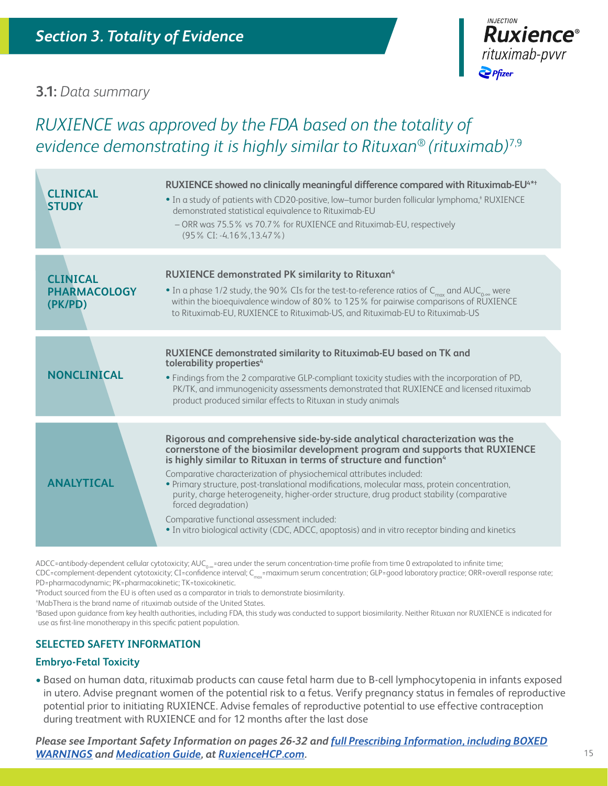### **3.1:** *Data summary*

# *RUXIENCE was approved by the FDA based on the totality of evidence demonstrating it is highly similar to Rituxan*® *(rituximab)*7,9

| <b>CLINICAL</b><br><b>STUDY</b>                   | RUXIENCE showed no clinically meaningful difference compared with Rituximab-EU <sup>4*†</sup><br>. In a study of patients with CD20-positive, low-tumor burden follicular lymphoma, <sup>†</sup> RUXIENCE<br>demonstrated statistical equivalence to Rituximab-EU<br>- ORR was 75.5% vs 70.7% for RUXIENCE and Rituximab-EU, respectively<br>(95% CI: -4.16%, 13.47%)                                                                                                                                                                                                                                                                                                                      |  |
|---------------------------------------------------|--------------------------------------------------------------------------------------------------------------------------------------------------------------------------------------------------------------------------------------------------------------------------------------------------------------------------------------------------------------------------------------------------------------------------------------------------------------------------------------------------------------------------------------------------------------------------------------------------------------------------------------------------------------------------------------------|--|
| <b>CLINICAL</b><br><b>PHARMACOLOGY</b><br>(PK/PD) | <b>RUXIENCE demonstrated PK similarity to Rituxan4</b><br>• In a phase 1/2 study, the 90% CIs for the test-to-reference ratios of $C_{max}$ and AUC <sub>0-</sub> were<br>within the bioequivalence window of 80% to 125% for pairwise comparisons of RUXIENCE<br>to Rituximab-EU, RUXIENCE to Rituximab-US, and Rituximab-EU to Rituximab-US                                                                                                                                                                                                                                                                                                                                              |  |
| <b>NONCLINICAL</b>                                | <b>RUXIENCE demonstrated similarity to Rituximab-EU based on TK and</b><br>tolerability properties <sup>4</sup><br>. Findings from the 2 comparative GLP-compliant toxicity studies with the incorporation of PD,<br>PK/TK, and immunogenicity assessments demonstrated that RUXIENCE and licensed rituximab<br>product produced similar effects to Rituxan in study animals                                                                                                                                                                                                                                                                                                               |  |
| <b>ANALYTICAL</b>                                 | Rigorous and comprehensive side-by-side analytical characterization was the<br>cornerstone of the biosimilar development program and supports that RUXIENCE<br>is highly similar to Rituxan in terms of structure and function <sup>4</sup><br>Comparative characterization of physiochemical attributes included:<br>· Primary structure, post-translational modifications, molecular mass, protein concentration,<br>purity, charge heterogeneity, higher-order structure, drug product stability (comparative<br>forced degradation)<br>Comparative functional assessment included:<br>• In vitro biological activity (CDC, ADCC, apoptosis) and in vitro receptor binding and kinetics |  |

ADCC=antibody-dependent cellular cytotoxicity; AUC<sub>0-∞</sub>=area under the serum concentration-time profile from time 0 extrapolated to infinite time; CDC=complement-dependent cytotoxicity; CI=confidence interval; C<sub>max</sub>=maximum serum concentration; GLP=good laboratory practice; ORR=overall response rate; PD=pharmacodynamic; PK=pharmacokinetic; TK=toxicokinetic.

\*Product sourced from the EU is often used as a comparator in trials to demonstrate biosimilarity.†

tMabThera is the brand name of rituximab outside of the United States.

Based upon guidance from key health authorities, including FDA, this study was conducted to support biosimilarity. Neither Rituxan nor RUXIENCE is indicated for use as first-line monotherapy in this specific patient population.

### **SELECTED SAFETY INFORMATION**

### **Embryo-Fetal Toxicity**

• Based on human data, rituximab products can cause fetal harm due to B-cell lymphocytopenia in infants exposed in utero. Advise pregnant women of the potential risk to a fetus. Verify pregnancy status in females of reproductive potential prior to initiating RUXIENCE. Advise females of reproductive potential to use effective contraception during treatment with RUXIENCE and for 12 months after the last dose

*Please see Important Safety Information on pages 26-32 and [full Prescribing Information, including BOXED](http://labeling.pfizer.com/ShowLabeling.aspx?id=12090)  [WARNINGS](http://labeling.pfizer.com/ShowLabeling.aspx?id=12090) and [Medication Guide](http://labeling.pfizer.com/ShowLabeling.aspx?id=12090§ion=MedGuide), at [RuxienceHCP.com.](https://www.pfizerpro.com/product/ruxience/hcp)*

**Ruxience**®

rituximab-pvvr

 $\sum$  Pfizer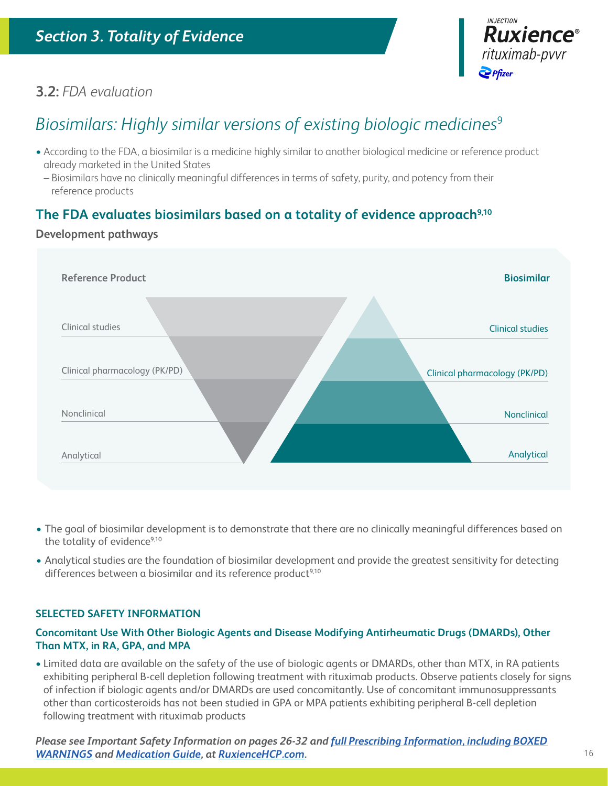

### **3.2:** *FDA evaluation*

# *Biosimilars: Highly similar versions of existing biologic medicines*<sup>9</sup>

- According to the FDA, a biosimilar is a medicine highly similar to another biological medicine or reference product already marketed in the United States
	- Biosimilars have no clinically meaningful differences in terms of safety, purity, and potency from their reference products

### The FDA evaluates biosimilars based on a totality of evidence approach<sup>9,10</sup>

### **Development pathways**



- The goal of biosimilar development is to demonstrate that there are no clinically meaningful differences based on the totality of evidence<sup>9,10</sup>
- Analytical studies are the foundation of biosimilar development and provide the greatest sensitivity for detecting differences between a biosimilar and its reference product<sup>9,10</sup>

### **SELECTED SAFETY INFORMATION**

### **Concomitant Use With Other Biologic Agents and Disease Modifying Antirheumatic Drugs (DMARDs), Other Than MTX, in RA, GPA, and MPA**

• Limited data are available on the safety of the use of biologic agents or DMARDs, other than MTX, in RA patients exhibiting peripheral B-cell depletion following treatment with rituximab products. Observe patients closely for signs of infection if biologic agents and/or DMARDs are used concomitantly. Use of concomitant immunosuppressants other than corticosteroids has not been studied in GPA or MPA patients exhibiting peripheral B-cell depletion following treatment with rituximab products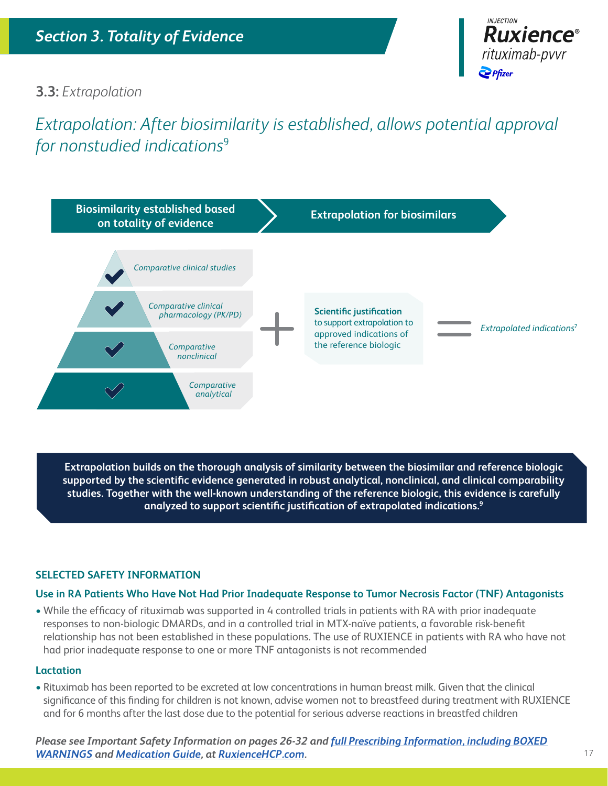

### **3.3:** *Extrapolation*

# *Extrapolation: After biosimilarity is established, allows potential approval for nonstudied indications*<sup>9</sup>



**Extrapolation builds on the thorough analysis of similarity between the biosimilar and reference biologic supported by the scientific evidence generated in robust analytical, nonclinical, and clinical comparability studies. Together with the well-known understanding of the reference biologic, this evidence is carefully analyzed to support scientific justification of extrapolated indications.9**

### **SELECTED SAFETY INFORMATION**

### **Use in RA Patients Who Have Not Had Prior Inadequate Response to Tumor Necrosis Factor (TNF) Antagonists**

• While the efficacy of rituximab was supported in 4 controlled trials in patients with RA with prior inadequate responses to non-biologic DMARDs, and in a controlled trial in MTX-naïve patients, a favorable risk-benefit relationship has not been established in these populations. The use of RUXIENCE in patients with RA who have not had prior inadequate response to one or more TNF antagonists is not recommended

### **Lactation**

• Rituximab has been reported to be excreted at low concentrations in human breast milk. Given that the clinical significance of this finding for children is not known, advise women not to breastfeed during treatment with RUXIENCE and for 6 months after the last dose due to the potential for serious adverse reactions in breastfed children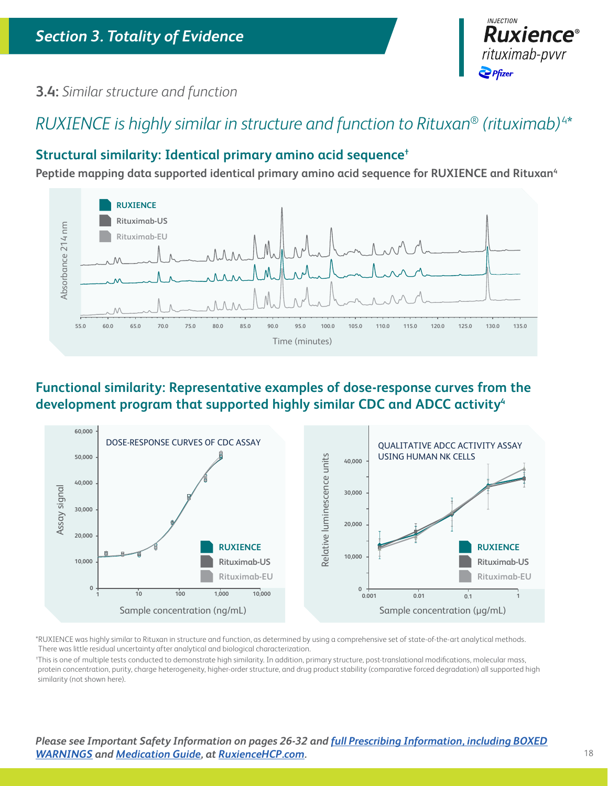

### **3.4:** *Similar structure and function*

# *RUXIENCE is highly similar in structure and function to Rituxan*® *(rituximab)* 4\*

### **Structural similarity: Identical primary amino acid sequence†**

Peptide mapping data supported identical primary amino acid sequence for RUXIENCE and Rituxan<sup>4</sup>



### **Functional similarity: Representative examples of dose-response curves from the**  development program that supported highly similar CDC and ADCC activity<sup>4</sup>



\*RUXIENCE was highly similar to Rituxan in structure and function, as determined by using a comprehensive set of state-of-the-art analytical methods. There was little residual uncertainty after analytical and biological characterization.

† This is one of multiple tests conducted to demonstrate high similarity. In addition, primary structure, post-translational modifications, molecular mass, protein concentration, purity, charge heterogeneity, higher-order structure, and drug product stability (comparative forced degradation) all supported high similarity (not shown here).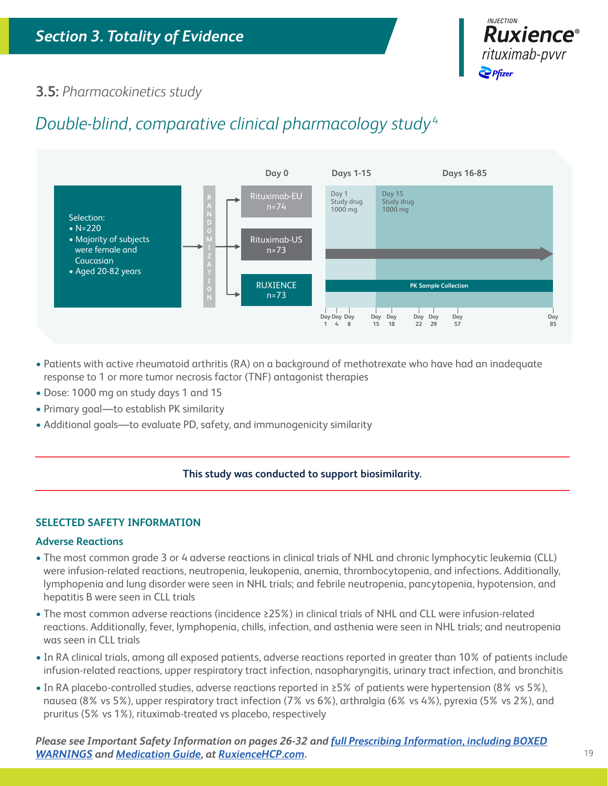

### **3.5:** *Pharmacokinetics study*

# *Double-blind, comparative clinical pharmacology study* <sup>4</sup>



- Patients with active rheumatoid arthritis (RA) on a background of methotrexate who have had an inadequate response to 1 or more tumor necrosis factor (TNF) antagonist therapies
- Dose: 1000 mg on study days 1 and 15
- Primary goal—to establish PK similarity
- Additional goals—to evaluate PD, safety, and immunogenicity similarity

### **This study was conducted to support biosimilarity.**

### **SELECTED SAFETY INFORMATION**

### **Adverse Reactions**

- The most common grade 3 or 4 adverse reactions in clinical trials of NHL and chronic lymphocytic leukemia (CLL) were infusion-related reactions, neutropenia, leukopenia, anemia, thrombocytopenia, and infections. Additionally, lymphopenia and lung disorder were seen in NHL trials; and febrile neutropenia, pancytopenia, hypotension, and hepatitis B were seen in CLL trials
- The most common adverse reactions (incidence ≥25%) in clinical trials of NHL and CLL were infusion-related reactions. Additionally, fever, lymphopenia, chills, infection, and asthenia were seen in NHL trials; and neutropenia was seen in CLL trials
- In RA clinical trials, among all exposed patients, adverse reactions reported in greater than 10% of patients include infusion-related reactions, upper respiratory tract infection, nasopharyngitis, urinary tract infection, and bronchitis
- In RA placebo-controlled studies, adverse reactions reported in ≥5% of patients were hypertension (8% vs 5%), nausea (8% vs 5%), upper respiratory tract infection (7% vs 6%), arthralgia (6% vs 4%), pyrexia (5% vs 2%), and pruritus (5% vs 1%), rituximab-treated vs placebo, respectively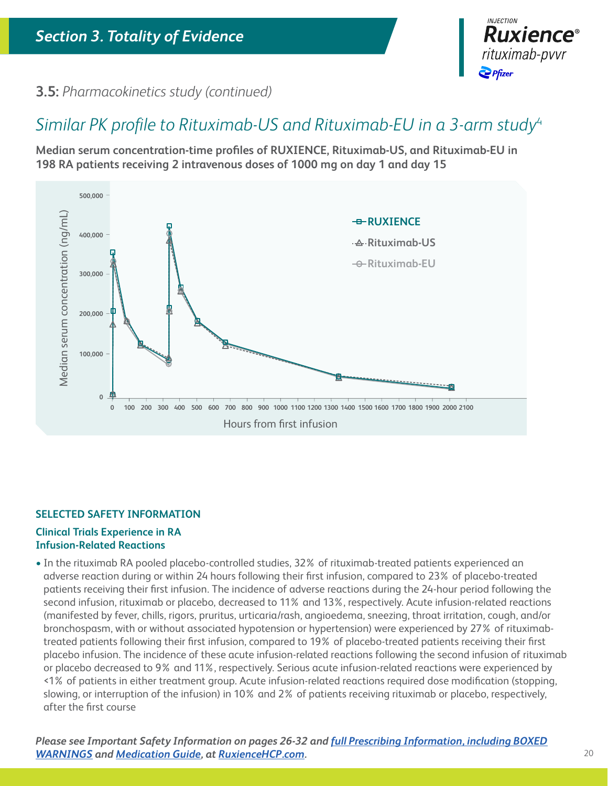

**3.5:** *Pharmacokinetics study (continued)* 

# *Similar PK profile to Rituximab-US and Rituximab-EU in a 3-arm study*<sup>4</sup>

**Median serum concentration-time profiles of RUXIENCE, Rituximab-US, and Rituximab-EU in 198 RA patients receiving 2 intravenous doses of 1000 mg on day 1 and day 15**



### **SELECTED SAFETY INFORMATION**

### **Clinical Trials Experience in RA Infusion-Related Reactions**

• In the rituximab RA pooled placebo-controlled studies, 32% of rituximab-treated patients experienced an adverse reaction during or within 24 hours following their first infusion, compared to 23% of placebo-treated patients receiving their first infusion. The incidence of adverse reactions during the 24-hour period following the second infusion, rituximab or placebo, decreased to 11% and 13%, respectively. Acute infusion-related reactions (manifested by fever, chills, rigors, pruritus, urticaria/rash, angioedema, sneezing, throat irritation, cough, and/or bronchospasm, with or without associated hypotension or hypertension) were experienced by 27% of rituximabtreated patients following their first infusion, compared to 19% of placebo-treated patients receiving their first placebo infusion. The incidence of these acute infusion-related reactions following the second infusion of rituximab or placebo decreased to 9% and 11%, respectively. Serious acute infusion-related reactions were experienced by <1% of patients in either treatment group. Acute infusion-related reactions required dose modification (stopping, slowing, or interruption of the infusion) in 10% and 2% of patients receiving rituximab or placebo, respectively, after the first course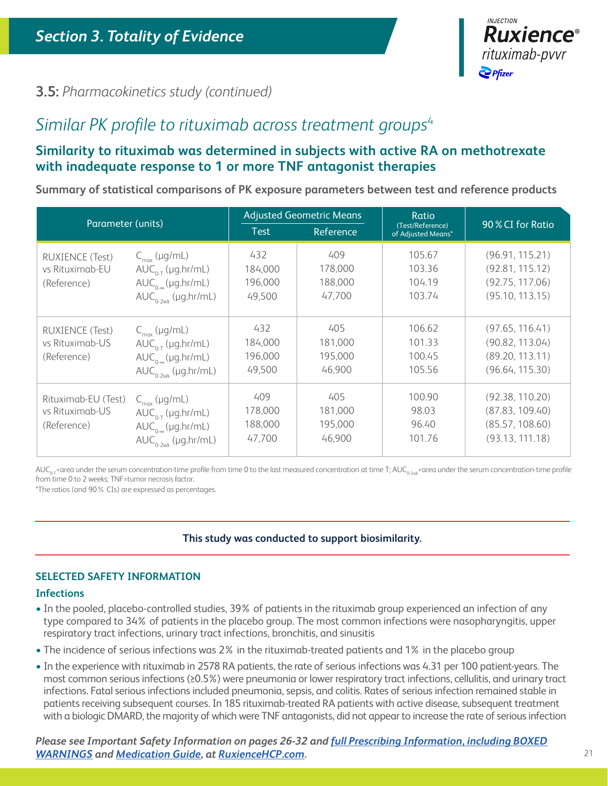

### **3.5:** *Pharmacokinetics study (continued)*

# *Similar PK profile to rituximab across treatment groups*<sup>4</sup>

### **Similarity to rituximab was determined in subjects with active RA on methotrexate with inadequate response to 1 or more TNF antagonist therapies**

**Summary of statistical comparisons of PK exposure parameters between test and reference products**

| Parameter (units)                                        |                                                                                                                 | <b>Adjusted Geometric Means</b><br><b>Test</b><br><b>Reference</b> |                                     | Ratio<br>(Test/Reference)<br>of Adjusted Means* | 90 % CI for Ratio                                                        |
|----------------------------------------------------------|-----------------------------------------------------------------------------------------------------------------|--------------------------------------------------------------------|-------------------------------------|-------------------------------------------------|--------------------------------------------------------------------------|
| <b>RUXIENCE (Test)</b><br>vs Rituximab-EU<br>(Reference) | $C_{\text{max}}$ (µg/mL)<br>$AUC_{0.T}$ (µg.hr/mL)<br>$AUC_{0.8}(\mu g.hr/mL)$<br>$AUC_{0.2wk}$ (µg.hr/mL)      | 432<br>184,000<br>196,000<br>49,500                                | 409<br>178,000<br>188,000<br>47,700 | 105.67<br>103.36<br>104.19<br>103.74            | (96.91, 115.21)<br>(92.81, 115.12)<br>(92.75, 117.06)<br>(95.10, 113.15) |
| <b>RUXIENCE (Test)</b><br>ys Rituximab-US<br>(Reference) | $C_{\text{max}}$ (µg/mL)<br>$AUC_{0.T}$ (µg.hr/mL)<br>$AUC_{0.2}(\mu g.hr/mL)$<br>$AUC_{0.2wk}$ (µg.hr/mL)      | 432<br>184,000<br>196,000<br>49,500                                | 405<br>181,000<br>195,000<br>46,900 | 106.62<br>101.33<br>100.45<br>105.56            | (97.65, 116.41)<br>(90.82, 113.04)<br>(89.20, 113.11)<br>(96.64, 115.30) |
| Rituximab-EU (Test)<br>vs Rituximab-US<br>(Reference)    | $C_{\text{max}}$ (µg/mL)<br>$AUC_{0.T}$ (µg.hr/mL)<br>$AUC_{0-\infty}(\mu g.hr/mL)$<br>$AUC_{0.2wk}$ (µg.hr/mL) | 409<br>178,000<br>188,000<br>47,700                                | 405<br>181,000<br>195,000<br>46,900 | 100.90<br>98.03<br>96.40<br>101.76              | (92.38, 110.20)<br>(87.83, 109.40)<br>(85.57, 108.60)<br>(93.13, 111.18) |

 $AUC_{0,T}$ =area under the serum concentration-time profile from time 0 to the last measured concentration at time T;  $AUC_{0.2\text{w}}$ =area under the serum concentration-time profile from time 0 to 2 weeks; TNF=tumor necrosis factor.

\*The ratios (and 90% CIs) are expressed as percentages.

### **This study was conducted to support biosimilarity.**

### **SELECTED SAFETY INFORMATION**

### **Infections**

- In the pooled, placebo-controlled studies, 39% of patients in the rituximab group experienced an infection of any type compared to 34% of patients in the placebo group. The most common infections were nasopharyngitis, upper respiratory tract infections, urinary tract infections, bronchitis, and sinusitis
- The incidence of serious infections was 2% in the rituximab-treated patients and 1% in the placebo group
- In the experience with rituximab in 2578 RA patients, the rate of serious infections was 4.31 per 100 patient-years. The most common serious infections (≥0.5%) were pneumonia or lower respiratory tract infections, cellulitis, and urinary tract infections. Fatal serious infections included pneumonia, sepsis, and colitis. Rates of serious infection remained stable in patients receiving subsequent courses. In 185 rituximab-treated RA patients with active disease, subsequent treatment with a biologic DMARD, the majority of which were TNF antagonists, did not appear to increase the rate of serious infection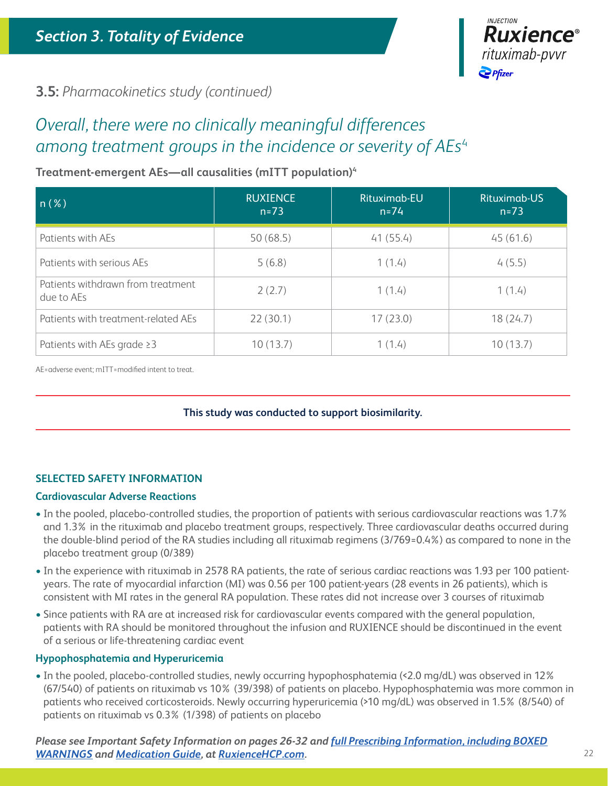

### **3.5:** *Pharmacokinetics study (continued)*

# *Overall, there were no clinically meaningful differences among treatment groups in the incidence or severity of AEs*<sup>4</sup>

### **Treatment-emergent AEs—all causalities (mITT population)4**

| $n(\%)$                                         | <b>RUXIENCE</b><br>$n = 73$ | Rituximab-EU<br>$n = 74$ | Rituximab-US<br>$n = 73$ |
|-------------------------------------------------|-----------------------------|--------------------------|--------------------------|
| Patients with AEs                               | 50(68.5)                    | 41(55.4)                 | 45(61.6)                 |
| Patients with serious AEs                       | 5(6.8)                      | 1(1.4)                   | 4(5.5)                   |
| Patients withdrawn from treatment<br>due to AEs | 2(2.7)                      | 1(1.4)                   | 1(1.4)                   |
| Patients with treatment-related AEs             | 22(30.1)                    | 17(23.0)                 | 18(24.7)                 |
| Patients with AEs grade $\geq$ 3                | 10(13.7)                    | 1(1.4)                   | 10(13.7)                 |

AE=adverse event; mITT=modified intent to treat.

### **This study was conducted to support biosimilarity.**

### **SELECTED SAFETY INFORMATION**

### **Cardiovascular Adverse Reactions**

- In the pooled, placebo-controlled studies, the proportion of patients with serious cardiovascular reactions was 1.7% and 1.3% in the rituximab and placebo treatment groups, respectively. Three cardiovascular deaths occurred during the double-blind period of the RA studies including all rituximab regimens (3/769=0.4%) as compared to none in the placebo treatment group (0/389)
- In the experience with rituximab in 2578 RA patients, the rate of serious cardiac reactions was 1.93 per 100 patientyears. The rate of myocardial infarction (MI) was 0.56 per 100 patient-years (28 events in 26 patients), which is consistent with MI rates in the general RA population. These rates did not increase over 3 courses of rituximab
- Since patients with RA are at increased risk for cardiovascular events compared with the general population, patients with RA should be monitored throughout the infusion and RUXIENCE should be discontinued in the event of a serious or life-threatening cardiac event

### **Hypophosphatemia and Hyperuricemia**

• In the pooled, placebo-controlled studies, newly occurring hypophosphatemia (<2.0 mg/dL) was observed in 12% (67/540) of patients on rituximab vs 10% (39/398) of patients on placebo. Hypophosphatemia was more common in patients who received corticosteroids. Newly occurring hyperuricemia (>10 mg/dL) was observed in 1.5% (8/540) of patients on rituximab vs 0.3% (1/398) of patients on placebo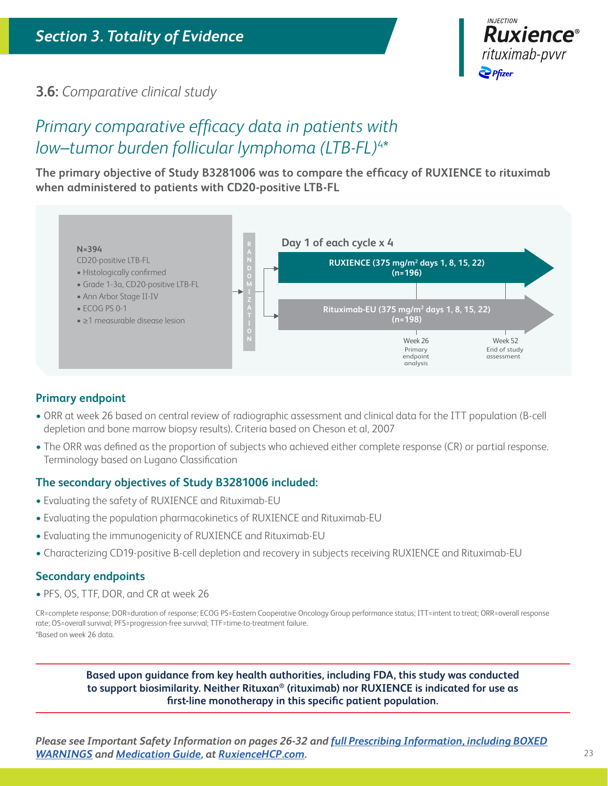

### **3.6:** *Comparative clinical study*

# *Primary comparative efficacy data in patients with low–tumor burden follicular lymphoma (LTB-FL)*<sup>4</sup> \*

**The primary objective of Study B3281006 was to compare the efficacy of RUXIENCE to rituximab when administered to patients with CD20-positive LTB-FL**



### **Primary endpoint**

- ORR at week 26 based on central review of radiographic assessment and clinical data for the ITT population (B-cell depletion and bone marrow biopsy results). Criteria based on Cheson et al, 2007
- The ORR was defined as the proportion of subjects who achieved either complete response (CR) or partial response. Terminology based on Lugano Classification

### **The secondary objectives of Study B3281006 included:**

- Evaluating the safety of RUXIENCE and Rituximab-EU
- Evaluating the population pharmacokinetics of RUXIENCE and Rituximab-EU
- Evaluating the immunogenicity of RUXIENCE and Rituximab-EU
- Characterizing CD19-positive B-cell depletion and recovery in subjects receiving RUXIENCE and Rituximab-EU

### **Secondary endpoints**

• PFS, OS, TTF, DOR, and CR at week 26

CR=complete response; DOR=duration of response; ECOG PS=Eastern Cooperative Oncology Group performance status; ITT=intent to treat; ORR=overall response rate; OS=overall survival; PFS=progression-free survival; TTF=time-to-treatment failure. \*Based on week 26 data.

**Based upon guidance from key health authorities, including FDA, this study was conducted to support biosimilarity. Neither Rituxan® (rituximab) nor RUXIENCE is indicated for use as first-line monotherapy in this specific patient population.**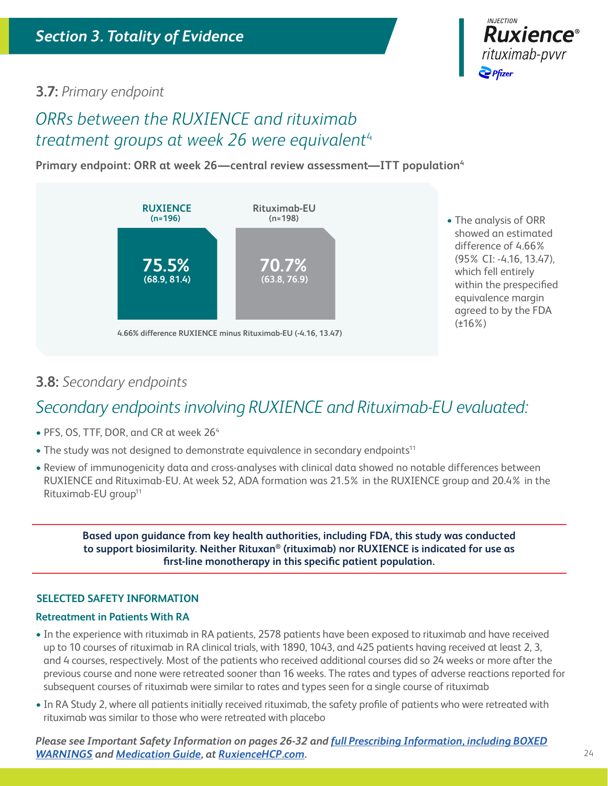

### **3.7:** *Primary endpoint*

## *ORRs between the RUXIENCE and rituximab treatment groups at week 26 were equivalent*<sup>4</sup>

**Primary endpoint: ORR at week 26—central review assessment—ITT population4**



• The analysis of ORR showed an estimated difference of 4.66% (95% CI: -4.16, 13.47), which fell entirely within the prespecified equivalence margin agreed to by the FDA (±16%)

### **3.8:** *Secondary endpoints*

# *Secondary endpoints involving RUXIENCE and Rituximab-EU evaluated:*

- PFS, OS, TTF, DOR, and CR at week 26<sup>4</sup>
- The study was not designed to demonstrate equivalence in secondary endpoints<sup>11</sup>
- Review of immunogenicity data and cross-analyses with clinical data showed no notable differences between RUXIENCE and Rituximab-EU. At week 52, ADA formation was 21.5% in the RUXIENCE group and 20.4% in the Rituximab-EU group11

**Based upon guidance from key health authorities, including FDA, this study was conducted to support biosimilarity. Neither Rituxan® (rituximab) nor RUXIENCE is indicated for use as first-line monotherapy in this specific patient population.**

### **SELECTED SAFETY INFORMATION**

### **Retreatment in Patients With RA**

- In the experience with rituximab in RA patients, 2578 patients have been exposed to rituximab and have received up to 10 courses of rituximab in RA clinical trials, with 1890, 1043, and 425 patients having received at least 2, 3, and 4 courses, respectively. Most of the patients who received additional courses did so 24 weeks or more after the previous course and none were retreated sooner than 16 weeks. The rates and types of adverse reactions reported for subsequent courses of rituximab were similar to rates and types seen for a single course of rituximab
- In RA Study 2, where all patients initially received rituximab, the safety profile of patients who were retreated with rituximab was similar to those who were retreated with placebo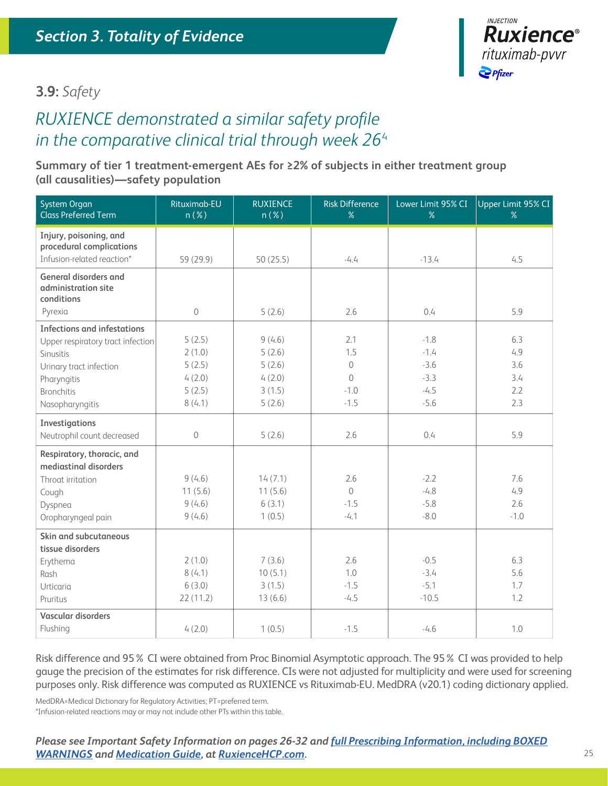

### **3.9:** *Safety*

### *RUXIENCE demonstrated a similar safety profile in the comparative clinical trial through week 26*<sup>4</sup>

### **Summary of tier 1 treatment-emergent AEs for ≥2% of subjects in either treatment group (all causalities)—safety population**

| System Organ<br><b>Class Preferred Term</b>                       | Rituximab-EU<br>n(X) | <b>RUXIENCE</b><br>$n(\%)$ | <b>Risk Difference</b><br>% | Lower Limit 95% CI<br>% | Upper Limit 95% CI<br>% |
|-------------------------------------------------------------------|----------------------|----------------------------|-----------------------------|-------------------------|-------------------------|
| Injury, poisoning, and<br>procedural complications                |                      |                            |                             |                         |                         |
| Infusion-related reaction*                                        | 59 (29.9)            | 50(25.5)                   | $-4.4$                      | $-13.4$                 | 4.5                     |
| <b>General disorders and</b><br>administration site<br>conditions |                      |                            |                             |                         |                         |
| Pyrexia                                                           | $\mathcal O$         | 5(2.6)                     | 2.6                         | 0.4                     | 5.9                     |
| <b>Infections and infestations</b>                                |                      |                            |                             |                         |                         |
| Upper respiratory tract infection                                 | 5(2.5)               | 9(4.6)                     | 2.1                         | $-1.8$                  | 6.3                     |
| Sinusitis                                                         | 2(1.0)               | 5(2.6)                     | 1.5                         | $-1.4$                  | 4.9                     |
| Urinary tract infection                                           | 5(2.5)               | 5(2.6)                     | $\Omega$                    | $-3.6$                  | 3.6                     |
| Pharyngitis                                                       | 4(2.0)               | 4(2.0)                     | $\overline{0}$              | $-3.3$                  | 3.4                     |
| <b>Bronchitis</b>                                                 | 5(2.5)               | 3(1.5)                     | $-1.0$                      | $-4.5$                  | 2.2                     |
| Nasopharyngitis                                                   | 8(4.1)               | 5(2.6)                     | $-1.5$                      | $-5.6$                  | 2.3                     |
| Investigations                                                    |                      |                            |                             |                         |                         |
| Neutrophil count decreased                                        | 0                    | 5(2.6)                     | 2.6                         | 0.4                     | 5.9                     |
| Respiratory, thoracic, and                                        |                      |                            |                             |                         |                         |
| mediastinal disorders                                             |                      |                            |                             |                         |                         |
| Throat irritation                                                 | 9(4.6)               | 14(7.1)                    | 2.6                         | $-2.2$                  | 7.6<br>4.9              |
| Cough                                                             | 11(5.6)<br>9(4.6)    | 11(5.6)<br>6(3.1)          | $\Omega$<br>$-1.5$          | $-4.8$<br>$-5.8$        | 2.6                     |
| Dyspnea<br>Oropharyngeal pain                                     | 9(4.6)               | 1(0.5)                     | $-4.1$                      | $-8.0$                  | $-1.0$                  |
|                                                                   |                      |                            |                             |                         |                         |
| Skin and subcutaneous<br>tissue disorders                         |                      |                            |                             |                         |                         |
| Erythema                                                          | 2(1.0)               | 7(3.6)                     | 2.6                         | $-0.5$                  | 6.3                     |
| Rash                                                              | 8(4.1)               | 10(5.1)                    | 1.0                         | $-3.4$                  | 5.6                     |
| Urticaria                                                         | 6(3.0)               | 3(1.5)                     | $-1.5$                      | $-5.1$                  | 1.7                     |
| Pruritus                                                          | 22(11.2)             | 13(6.6)                    | $-4.5$                      | $-10.5$                 | 1.2                     |
| Vascular disorders                                                |                      |                            |                             |                         |                         |
| Flushing                                                          | 4(2.0)               | 1(0.5)                     | $-1.5$                      | $-4.6$                  | 1.0                     |
|                                                                   |                      |                            |                             |                         |                         |

Risk difference and 95% CI were obtained from Proc Binomial Asymptotic approach. The 95% CI was provided to help gauge the precision of the estimates for risk difference. CIs were not adjusted for multiplicity and were used for screening purposes only. Risk difference was computed as RUXIENCE vs Rituximab-EU. MedDRA (v20.1) coding dictionary applied.

MedDRA=Medical Dictionary for Regulatory Activities; PT=preferred term. \*Infusion-related reactions may or may not include other PTs within this table.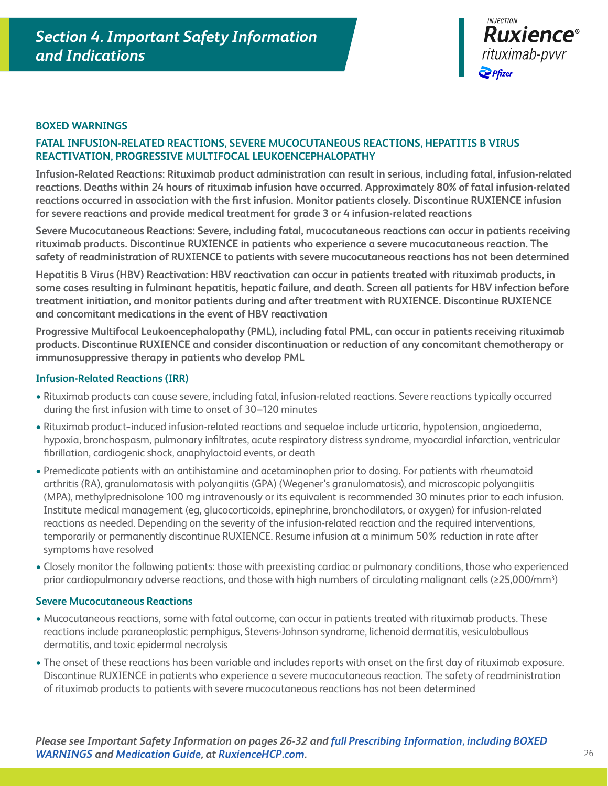

### **BOXED WARNINGS**

### **FATAL INFUSION-RELATED REACTIONS, SEVERE MUCOCUTANEOUS REACTIONS, HEPATITIS B VIRUS REACTIVATION, PROGRESSIVE MULTIFOCAL LEUKOENCEPHALOPATHY**

**Infusion-Related Reactions: Rituximab product administration can result in serious, including fatal, infusion-related reactions. Deaths within 24 hours of rituximab infusion have occurred. Approximately 80% of fatal infusion-related reactions occurred in association with the first infusion. Monitor patients closely. Discontinue RUXIENCE infusion for severe reactions and provide medical treatment for grade 3 or 4 infusion-related reactions**

**Severe Mucocutaneous Reactions: Severe, including fatal, mucocutaneous reactions can occur in patients receiving rituximab products. Discontinue RUXIENCE in patients who experience a severe mucocutaneous reaction. The safety of readministration of RUXIENCE to patients with severe mucocutaneous reactions has not been determined**

**Hepatitis B Virus (HBV) Reactivation: HBV reactivation can occur in patients treated with rituximab products, in some cases resulting in fulminant hepatitis, hepatic failure, and death. Screen all patients for HBV infection before treatment initiation, and monitor patients during and after treatment with RUXIENCE. Discontinue RUXIENCE and concomitant medications in the event of HBV reactivation**

**Progressive Multifocal Leukoencephalopathy (PML), including fatal PML, can occur in patients receiving rituximab products. Discontinue RUXIENCE and consider discontinuation or reduction of any concomitant chemotherapy or immunosuppressive therapy in patients who develop PML**

#### **Infusion-Related Reactions (IRR)**

- Rituximab products can cause severe, including fatal, infusion-related reactions. Severe reactions typically occurred during the first infusion with time to onset of 30–120 minutes
- Rituximab product−induced infusion-related reactions and sequelae include urticaria, hypotension, angioedema, hypoxia, bronchospasm, pulmonary infiltrates, acute respiratory distress syndrome, myocardial infarction, ventricular fibrillation, cardiogenic shock, anaphylactoid events, or death
- Premedicate patients with an antihistamine and acetaminophen prior to dosing. For patients with rheumatoid arthritis (RA), granulomatosis with polyangiitis (GPA) (Wegener's granulomatosis), and microscopic polyangiitis (MPA), methylprednisolone 100 mg intravenously or its equivalent is recommended 30 minutes prior to each infusion. Institute medical management (eg, glucocorticoids, epinephrine, bronchodilators, or oxygen) for infusion-related reactions as needed. Depending on the severity of the infusion-related reaction and the required interventions, temporarily or permanently discontinue RUXIENCE. Resume infusion at a minimum 50% reduction in rate after symptoms have resolved
- Closely monitor the following patients: those with preexisting cardiac or pulmonary conditions, those who experienced prior cardiopulmonary adverse reactions, and those with high numbers of circulating malignant cells (≥25,000/mm<sup>3</sup>)

#### **Severe Mucocutaneous Reactions**

- Mucocutaneous reactions, some with fatal outcome, can occur in patients treated with rituximab products. These reactions include paraneoplastic pemphigus, Stevens-Johnson syndrome, lichenoid dermatitis, vesiculobullous dermatitis, and toxic epidermal necrolysis
- The onset of these reactions has been variable and includes reports with onset on the first day of rituximab exposure. Discontinue RUXIENCE in patients who experience a severe mucocutaneous reaction. The safety of readministration of rituximab products to patients with severe mucocutaneous reactions has not been determined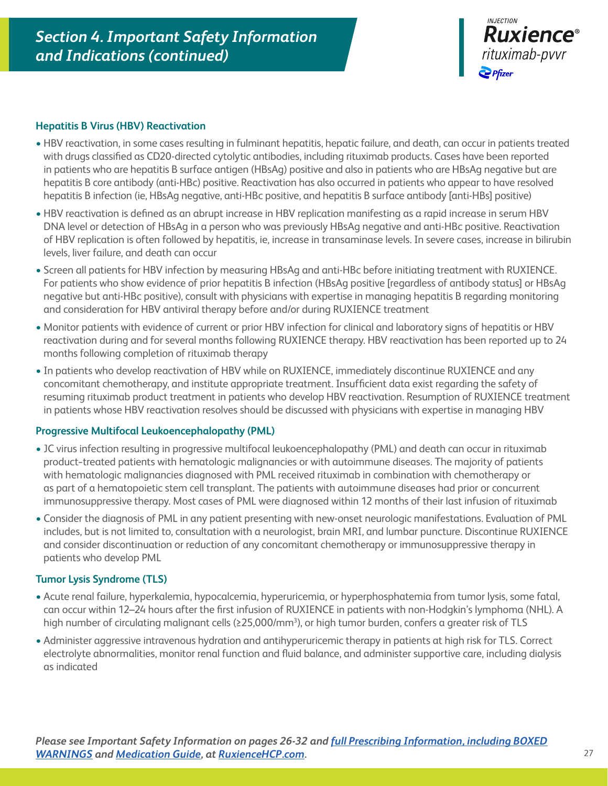

### **Hepatitis B Virus (HBV) Reactivation**

- HBV reactivation, in some cases resulting in fulminant hepatitis, hepatic failure, and death, can occur in patients treated with drugs classified as CD20-directed cytolytic antibodies, including rituximab products. Cases have been reported in patients who are hepatitis B surface antigen (HBsAg) positive and also in patients who are HBsAg negative but are hepatitis B core antibody (anti-HBc) positive. Reactivation has also occurred in patients who appear to have resolved hepatitis B infection (ie, HBsAg negative, anti-HBc positive, and hepatitis B surface antibody [anti-HBs] positive)
- HBV reactivation is defined as an abrupt increase in HBV replication manifesting as a rapid increase in serum HBV DNA level or detection of HBsAg in a person who was previously HBsAg negative and anti-HBc positive. Reactivation of HBV replication is often followed by hepatitis, ie, increase in transaminase levels. In severe cases, increase in bilirubin levels, liver failure, and death can occur
- Screen all patients for HBV infection by measuring HBsAg and anti-HBc before initiating treatment with RUXIENCE. For patients who show evidence of prior hepatitis B infection (HBsAg positive [regardless of antibody status] or HBsAg negative but anti-HBc positive), consult with physicians with expertise in managing hepatitis B regarding monitoring and consideration for HBV antiviral therapy before and/or during RUXIENCE treatment
- Monitor patients with evidence of current or prior HBV infection for clinical and laboratory signs of hepatitis or HBV reactivation during and for several months following RUXIENCE therapy. HBV reactivation has been reported up to 24 months following completion of rituximab therapy
- In patients who develop reactivation of HBV while on RUXIENCE, immediately discontinue RUXIENCE and any concomitant chemotherapy, and institute appropriate treatment. Insufficient data exist regarding the safety of resuming rituximab product treatment in patients who develop HBV reactivation. Resumption of RUXIENCE treatment in patients whose HBV reactivation resolves should be discussed with physicians with expertise in managing HBV

### **Progressive Multifocal Leukoencephalopathy (PML)**

- JC virus infection resulting in progressive multifocal leukoencephalopathy (PML) and death can occur in rituximab product−treated patients with hematologic malignancies or with autoimmune diseases. The majority of patients with hematologic malignancies diagnosed with PML received rituximab in combination with chemotherapy or as part of a hematopoietic stem cell transplant. The patients with autoimmune diseases had prior or concurrent immunosuppressive therapy. Most cases of PML were diagnosed within 12 months of their last infusion of rituximab
- Consider the diagnosis of PML in any patient presenting with new-onset neurologic manifestations. Evaluation of PML includes, but is not limited to, consultation with a neurologist, brain MRI, and lumbar puncture. Discontinue RUXIENCE and consider discontinuation or reduction of any concomitant chemotherapy or immunosuppressive therapy in patients who develop PML

### **Tumor Lysis Syndrome (TLS)**

- Acute renal failure, hyperkalemia, hypocalcemia, hyperuricemia, or hyperphosphatemia from tumor lysis, some fatal, can occur within 12–24 hours after the first infusion of RUXIENCE in patients with non-Hodgkin's lymphoma (NHL). A high number of circulating malignant cells (≥25,000/mm<sup>3</sup>), or high tumor burden, confers a greater risk of TLS
- Administer aggressive intravenous hydration and antihyperuricemic therapy in patients at high risk for TLS. Correct electrolyte abnormalities, monitor renal function and fluid balance, and administer supportive care, including dialysis as indicated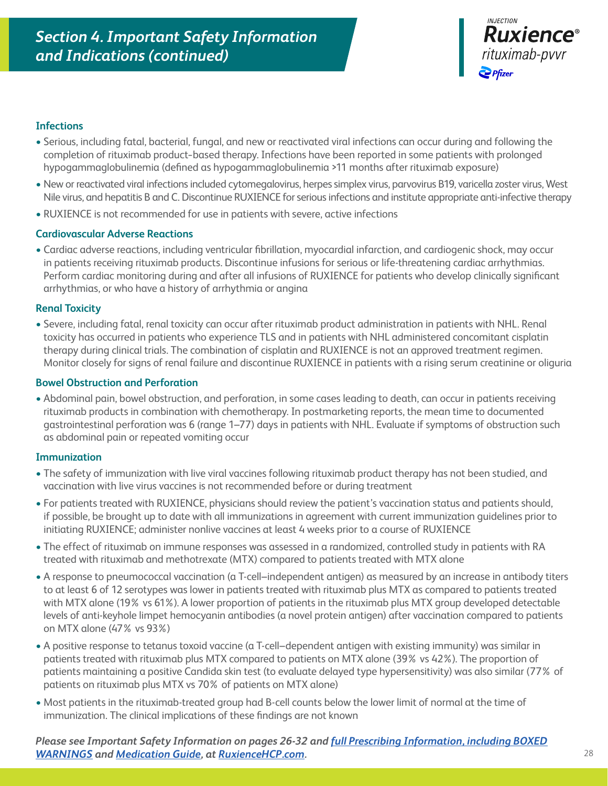

### **Infections**

- Serious, including fatal, bacterial, fungal, and new or reactivated viral infections can occur during and following the completion of rituximab product−based therapy. Infections have been reported in some patients with prolonged hypogammaglobulinemia (defined as hypogammaglobulinemia >11 months after rituximab exposure)
- New or reactivated viral infections included cytomegalovirus, herpes simplex virus, parvovirus B19, varicella zoster virus, West Nile virus, and hepatitis B and C. Discontinue RUXIENCE for serious infections and institute appropriate anti-infective therapy
- RUXIENCE is not recommended for use in patients with severe, active infections

### **Cardiovascular Adverse Reactions**

• Cardiac adverse reactions, including ventricular fibrillation, myocardial infarction, and cardiogenic shock, may occur in patients receiving rituximab products. Discontinue infusions for serious or life-threatening cardiac arrhythmias. Perform cardiac monitoring during and after all infusions of RUXIENCE for patients who develop clinically significant arrhythmias, or who have a history of arrhythmia or angina

### **Renal Toxicity**

• Severe, including fatal, renal toxicity can occur after rituximab product administration in patients with NHL. Renal toxicity has occurred in patients who experience TLS and in patients with NHL administered concomitant cisplatin therapy during clinical trials. The combination of cisplatin and RUXIENCE is not an approved treatment regimen. Monitor closely for signs of renal failure and discontinue RUXIENCE in patients with a rising serum creatinine or oliguria

#### **Bowel Obstruction and Perforation**

• Abdominal pain, bowel obstruction, and perforation, in some cases leading to death, can occur in patients receiving rituximab products in combination with chemotherapy. In postmarketing reports, the mean time to documented gastrointestinal perforation was 6 (range 1–77) days in patients with NHL. Evaluate if symptoms of obstruction such as abdominal pain or repeated vomiting occur

### **Immunization**

- The safety of immunization with live viral vaccines following rituximab product therapy has not been studied, and vaccination with live virus vaccines is not recommended before or during treatment
- For patients treated with RUXIENCE, physicians should review the patient's vaccination status and patients should, if possible, be brought up to date with all immunizations in agreement with current immunization guidelines prior to initiating RUXIENCE; administer nonlive vaccines at least 4 weeks prior to a course of RUXIENCE
- The effect of rituximab on immune responses was assessed in a randomized, controlled study in patients with RA treated with rituximab and methotrexate (MTX) compared to patients treated with MTX alone
- A response to pneumococcal vaccination (a T-cell–independent antigen) as measured by an increase in antibody titers to at least 6 of 12 serotypes was lower in patients treated with rituximab plus MTX as compared to patients treated with MTX alone (19% vs 61%). A lower proportion of patients in the rituximab plus MTX group developed detectable levels of anti-keyhole limpet hemocyanin antibodies (a novel protein antigen) after vaccination compared to patients on MTX alone (47% vs 93%)
- A positive response to tetanus toxoid vaccine (a T-cell–dependent antigen with existing immunity) was similar in patients treated with rituximab plus MTX compared to patients on MTX alone (39% vs 42%). The proportion of patients maintaining a positive Candida skin test (to evaluate delayed type hypersensitivity) was also similar (77% of patients on rituximab plus MTX vs 70% of patients on MTX alone)
- Most patients in the rituximab-treated group had B-cell counts below the lower limit of normal at the time of immunization. The clinical implications of these findings are not known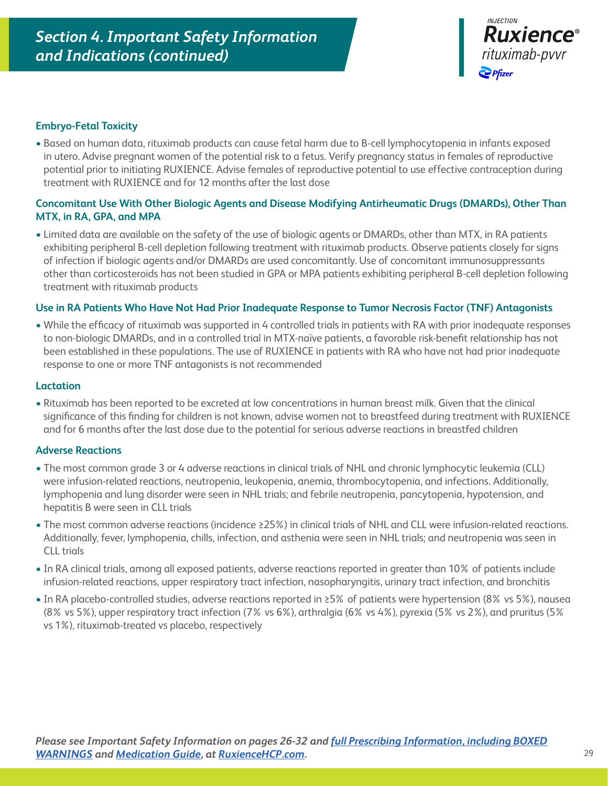

### **Embryo-Fetal Toxicity**

• Based on human data, rituximab products can cause fetal harm due to B-cell lymphocytopenia in infants exposed in utero. Advise pregnant women of the potential risk to a fetus. Verify pregnancy status in females of reproductive potential prior to initiating RUXIENCE. Advise females of reproductive potential to use effective contraception during treatment with RUXIENCE and for 12 months after the last dose

### **Concomitant Use With Other Biologic Agents and Disease Modifying Antirheumatic Drugs (DMARDs), Other Than MTX, in RA, GPA, and MPA**

• Limited data are available on the safety of the use of biologic agents or DMARDs, other than MTX, in RA patients exhibiting peripheral B-cell depletion following treatment with rituximab products. Observe patients closely for signs of infection if biologic agents and/or DMARDs are used concomitantly. Use of concomitant immunosuppressants other than corticosteroids has not been studied in GPA or MPA patients exhibiting peripheral B-cell depletion following treatment with rituximab products

### **Use in RA Patients Who Have Not Had Prior Inadequate Response to Tumor Necrosis Factor (TNF) Antagonists**

• While the efficacy of rituximab was supported in 4 controlled trials in patients with RA with prior inadequate responses to non-biologic DMARDs, and in a controlled trial in MTX-naïve patients, a favorable risk-benefit relationship has not been established in these populations. The use of RUXIENCE in patients with RA who have not had prior inadequate response to one or more TNF antagonists is not recommended

#### **Lactation**

• Rituximab has been reported to be excreted at low concentrations in human breast milk. Given that the clinical significance of this finding for children is not known, advise women not to breastfeed during treatment with RUXIENCE and for 6 months after the last dose due to the potential for serious adverse reactions in breastfed children

#### **Adverse Reactions**

- The most common grade 3 or 4 adverse reactions in clinical trials of NHL and chronic lymphocytic leukemia (CLL) were infusion-related reactions, neutropenia, leukopenia, anemia, thrombocytopenia, and infections. Additionally, lymphopenia and lung disorder were seen in NHL trials; and febrile neutropenia, pancytopenia, hypotension, and hepatitis B were seen in CLL trials
- The most common adverse reactions (incidence ≥25%) in clinical trials of NHL and CLL were infusion-related reactions. Additionally, fever, lymphopenia, chills, infection, and asthenia were seen in NHL trials; and neutropenia was seen in CLL trials
- In RA clinical trials, among all exposed patients, adverse reactions reported in greater than 10% of patients include infusion-related reactions, upper respiratory tract infection, nasopharyngitis, urinary tract infection, and bronchitis
- In RA placebo-controlled studies, adverse reactions reported in ≥5% of patients were hypertension (8% vs 5%), nausea (8% vs 5%), upper respiratory tract infection (7% vs 6%), arthralgia (6% vs 4%), pyrexia (5% vs 2%), and pruritus (5% vs 1%), rituximab-treated vs placebo, respectively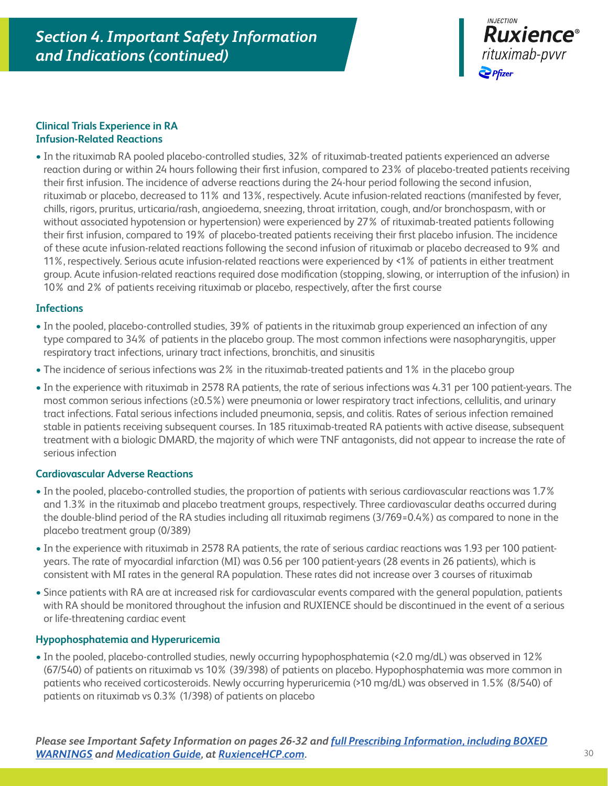

### **Clinical Trials Experience in RA Infusion-Related Reactions**

• In the rituximab RA pooled placebo-controlled studies, 32% of rituximab-treated patients experienced an adverse reaction during or within 24 hours following their first infusion, compared to 23% of placebo-treated patients receiving their first infusion. The incidence of adverse reactions during the 24-hour period following the second infusion, rituximab or placebo, decreased to 11% and 13%, respectively. Acute infusion-related reactions (manifested by fever, chills, rigors, pruritus, urticaria/rash, angioedema, sneezing, throat irritation, cough, and/or bronchospasm, with or without associated hypotension or hypertension) were experienced by 27% of rituximab-treated patients following their first infusion, compared to 19% of placebo-treated patients receiving their first placebo infusion. The incidence of these acute infusion-related reactions following the second infusion of rituximab or placebo decreased to 9% and 11%, respectively. Serious acute infusion-related reactions were experienced by <1% of patients in either treatment group. Acute infusion-related reactions required dose modification (stopping, slowing, or interruption of the infusion) in 10% and 2% of patients receiving rituximab or placebo, respectively, after the first course

### **Infections**

- In the pooled, placebo-controlled studies, 39% of patients in the rituximab group experienced an infection of any type compared to 34% of patients in the placebo group. The most common infections were nasopharyngitis, upper respiratory tract infections, urinary tract infections, bronchitis, and sinusitis
- The incidence of serious infections was 2% in the rituximab-treated patients and 1% in the placebo group
- In the experience with rituximab in 2578 RA patients, the rate of serious infections was 4.31 per 100 patient-years. The most common serious infections (≥0.5%) were pneumonia or lower respiratory tract infections, cellulitis, and urinary tract infections. Fatal serious infections included pneumonia, sepsis, and colitis. Rates of serious infection remained stable in patients receiving subsequent courses. In 185 rituximab-treated RA patients with active disease, subsequent treatment with a biologic DMARD, the majority of which were TNF antagonists, did not appear to increase the rate of serious infection

### **Cardiovascular Adverse Reactions**

- In the pooled, placebo-controlled studies, the proportion of patients with serious cardiovascular reactions was 1.7% and 1.3% in the rituximab and placebo treatment groups, respectively. Three cardiovascular deaths occurred during the double-blind period of the RA studies including all rituximab regimens (3/769=0.4%) as compared to none in the placebo treatment group (0/389)
- In the experience with rituximab in 2578 RA patients, the rate of serious cardiac reactions was 1.93 per 100 patientyears. The rate of myocardial infarction (MI) was 0.56 per 100 patient-years (28 events in 26 patients), which is consistent with MI rates in the general RA population. These rates did not increase over 3 courses of rituximab
- Since patients with RA are at increased risk for cardiovascular events compared with the general population, patients with RA should be monitored throughout the infusion and RUXIENCE should be discontinued in the event of a serious or life-threatening cardiac event

### **Hypophosphatemia and Hyperuricemia**

• In the pooled, placebo-controlled studies, newly occurring hypophosphatemia (<2.0 mg/dL) was observed in 12% (67/540) of patients on rituximab vs 10% (39/398) of patients on placebo. Hypophosphatemia was more common in patients who received corticosteroids. Newly occurring hyperuricemia (>10 mg/dL) was observed in 1.5% (8/540) of patients on rituximab vs 0.3% (1/398) of patients on placebo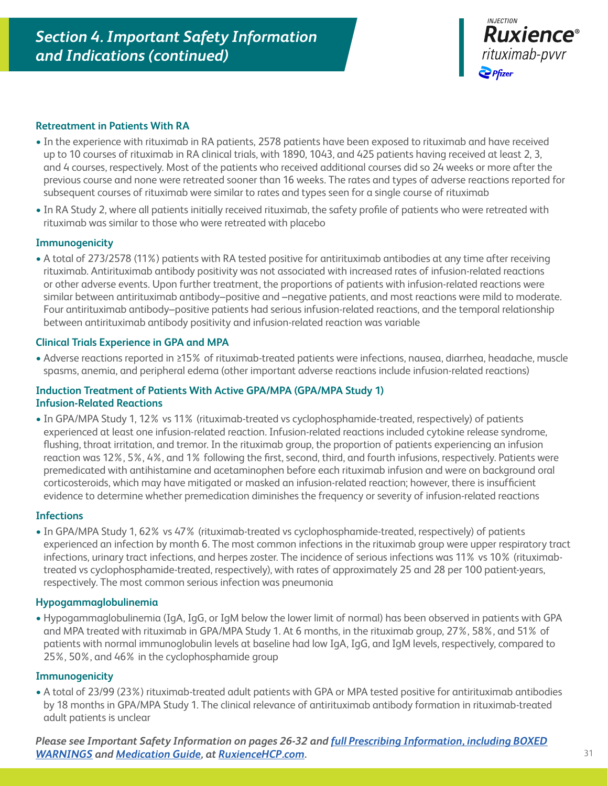

### **Retreatment in Patients With RA**

- In the experience with rituximab in RA patients, 2578 patients have been exposed to rituximab and have received up to 10 courses of rituximab in RA clinical trials, with 1890, 1043, and 425 patients having received at least 2, 3, and 4 courses, respectively. Most of the patients who received additional courses did so 24 weeks or more after the previous course and none were retreated sooner than 16 weeks. The rates and types of adverse reactions reported for subsequent courses of rituximab were similar to rates and types seen for a single course of rituximab
- In RA Study 2, where all patients initially received rituximab, the safety profile of patients who were retreated with rituximab was similar to those who were retreated with placebo

### **Immunogenicity**

• A total of 273/2578 (11%) patients with RA tested positive for antirituximab antibodies at any time after receiving rituximab. Antirituximab antibody positivity was not associated with increased rates of infusion-related reactions or other adverse events. Upon further treatment, the proportions of patients with infusion-related reactions were similar between antirituximab antibody–positive and –negative patients, and most reactions were mild to moderate. Four antirituximab antibody–positive patients had serious infusion-related reactions, and the temporal relationship between antirituximab antibody positivity and infusion-related reaction was variable

### **Clinical Trials Experience in GPA and MPA**

• Adverse reactions reported in ≥15% of rituximab-treated patients were infections, nausea, diarrhea, headache, muscle spasms, anemia, and peripheral edema (other important adverse reactions include infusion-related reactions)

### **Induction Treatment of Patients With Active GPA/MPA (GPA/MPA Study 1) Infusion-Related Reactions**

• In GPA/MPA Study 1, 12% vs 11% (rituximab-treated vs cyclophosphamide-treated, respectively) of patients experienced at least one infusion-related reaction. Infusion-related reactions included cytokine release syndrome, flushing, throat irritation, and tremor. In the rituximab group, the proportion of patients experiencing an infusion reaction was 12%, 5%, 4%, and 1% following the first, second, third, and fourth infusions, respectively. Patients were premedicated with antihistamine and acetaminophen before each rituximab infusion and were on background oral corticosteroids, which may have mitigated or masked an infusion-related reaction; however, there is insufficient evidence to determine whether premedication diminishes the frequency or severity of infusion-related reactions

### **Infections**

• In GPA/MPA Study 1, 62% vs 47% (rituximab-treated vs cyclophosphamide-treated, respectively) of patients experienced an infection by month 6. The most common infections in the rituximab group were upper respiratory tract infections, urinary tract infections, and herpes zoster. The incidence of serious infections was 11% vs 10% (rituximabtreated vs cyclophosphamide-treated, respectively), with rates of approximately 25 and 28 per 100 patient-years, respectively. The most common serious infection was pneumonia

#### **Hypogammaglobulinemia**

• Hypogammaglobulinemia (IgA, IgG, or IgM below the lower limit of normal) has been observed in patients with GPA and MPA treated with rituximab in GPA/MPA Study 1. At 6 months, in the rituximab group, 27%, 58%, and 51% of patients with normal immunoglobulin levels at baseline had low IgA, IgG, and IgM levels, respectively, compared to 25%, 50%, and 46% in the cyclophosphamide group

### **Immunogenicity**

• A total of 23/99 (23%) rituximab-treated adult patients with GPA or MPA tested positive for antirituximab antibodies by 18 months in GPA/MPA Study 1. The clinical relevance of antirituximab antibody formation in rituximab-treated adult patients is unclear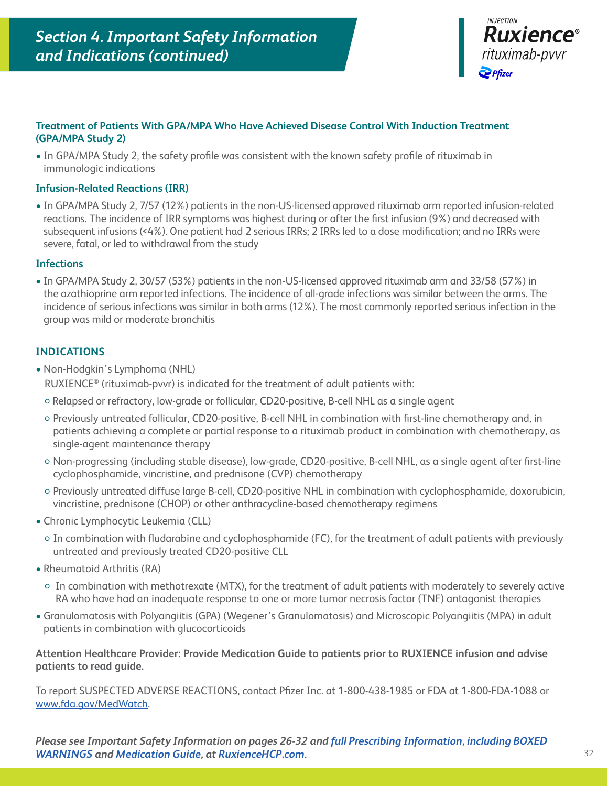

### **Treatment of Patients With GPA/MPA Who Have Achieved Disease Control With Induction Treatment (GPA/MPA Study 2)**

• In GPA/MPA Study 2, the safety profile was consistent with the known safety profile of rituximab in immunologic indications

### **Infusion-Related Reactions (IRR)**

• In GPA/MPA Study 2, 7/57 (12%) patients in the non-US-licensed approved rituximab arm reported infusion-related reactions. The incidence of IRR symptoms was highest during or after the first infusion (9%) and decreased with subsequent infusions (<4%). One patient had 2 serious IRRs; 2 IRRs led to a dose modification; and no IRRs were severe, fatal, or led to withdrawal from the study

### **Infections**

• In GPA/MPA Study 2, 30/57 (53%) patients in the non-US-licensed approved rituximab arm and 33/58 (57%) in the azathioprine arm reported infections. The incidence of all-grade infections was similar between the arms. The incidence of serious infections was similar in both arms (12%). The most commonly reported serious infection in the group was mild or moderate bronchitis

### **INDICATIONS**

- Non-Hodgkin's Lymphoma (NHL) RUXIENCE® (rituximab-pvvr) is indicated for the treatment of adult patients with:
	- Relapsed or refractory, low-grade or follicular, CD20-positive, B-cell NHL as a single agent
	- Previously untreated follicular, CD20-positive, B-cell NHL in combination with first-line chemotherapy and, in patients achieving a complete or partial response to a rituximab product in combination with chemotherapy, as single-agent maintenance therapy
	- Non-progressing (including stable disease), low-grade, CD20-positive, B-cell NHL, as a single agent after first-line cyclophosphamide, vincristine, and prednisone (CVP) chemotherapy
	- Previously untreated diffuse large B-cell, CD20-positive NHL in combination with cyclophosphamide, doxorubicin, vincristine, prednisone (CHOP) or other anthracycline-based chemotherapy regimens
- Chronic Lymphocytic Leukemia (CLL)
	- In combination with fludarabine and cyclophosphamide (FC), for the treatment of adult patients with previously untreated and previously treated CD20-positive CLL
- Rheumatoid Arthritis (RA)
	- In combination with methotrexate (MTX), for the treatment of adult patients with moderately to severely active RA who have had an inadequate response to one or more tumor necrosis factor (TNF) antagonist therapies
- Granulomatosis with Polyangiitis (GPA) (Wegener's Granulomatosis) and Microscopic Polyangiitis (MPA) in adult patients in combination with glucocorticoids

### **Attention Healthcare Provider: Provide Medication Guide to patients prior to RUXIENCE infusion and advise patients to read guide.**

To report SUSPECTED ADVERSE REACTIONS, contact Pfizer Inc. at 1-800-438-1985 or FDA at 1-800-FDA-1088 or [www.fda.gov/MedWatch.](http://www.fda.gov/MedWatch)